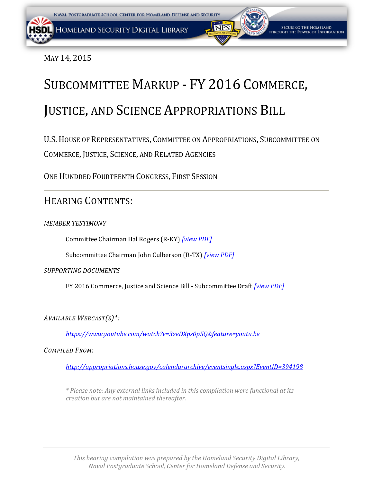MAY 14, 2015

# SUBCOMMITTEE MARKUP - FY 2016 COMMERCE, JUSTICE, AND SCIENCE APPROPRIATIONS BILL

U.S.HOUSE OF REPRESENTATIVES, COMMITTEE ON APPROPRIATIONS, SUBCOMMITTEE ON

COMMERCE, JUSTICE, SCIENCE, AND RELATED AGENCIES

ONE HUNDRED FOURTEENTH CONGRESS, FIRST SESSION

### HEARING CONTENTS:

*MEMBER TESTIMONY*

Committee Chairman Hal Rogers (R-KY) *[\[view PDF\]](#page-1-0)*

Subcommittee Chairman John Culberson (R-TX) *[\[view PDF\]](#page-2-0)*

*SUPPORTING DOCUMENTS*

FY 2016 Commerce, Justice and Science Bill - Subcommittee Draft *[\[view PDF\]](#page-4-0)*

*AVAILABLE WEBCAST(S)\*:*

*<https://www.youtube.com/watch?v=3zeDXps0p5Q&feature=youtu.be>*

*COMPILED FROM:*

*<http://appropriations.house.gov/calendararchive/eventsingle.aspx?EventID=394198>*

*\* Please note: Any external links included in this compilation were functional at its creation but are not maintained thereafter.*

*This hearing compilation was prepared by the Homeland Security Digital Library, Naval Postgraduate School, Center for Homeland Defense and Security.*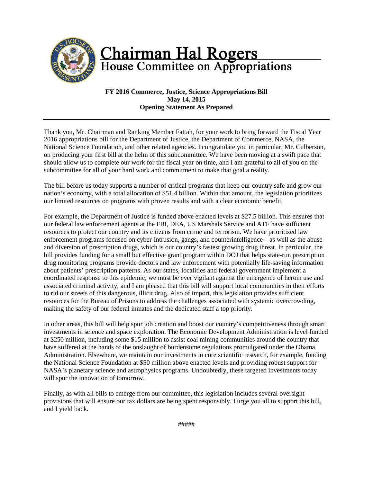<span id="page-1-0"></span>

# **Chairman Hal Rogers**<br>House Committee on Appropriations

**FY 2016 Commerce, Justice, Science Appropriations Bill May 14, 2015 Opening Statement As Prepared**

Thank you, Mr. Chairman and Ranking Member Fattah, for your work to bring forward the Fiscal Year 2016 appropriations bill for the Department of Justice, the Department of Commerce, NASA, the National Science Foundation, and other related agencies. I congratulate you in particular, Mr. Culberson, on producing your first bill at the helm of this subcommittee. We have been moving at a swift pace that should allow us to complete our work for the fiscal year on time, and I am grateful to all of you on the subcommittee for all of your hard work and commitment to make that goal a reality.

The bill before us today supports a number of critical programs that keep our country safe and grow our nation's economy, with a total allocation of \$51.4 billion. Within that amount, the legislation prioritizes our limited resources on programs with proven results and with a clear economic benefit.

For example, the Department of Justice is funded above enacted levels at \$27.5 billion. This ensures that our federal law enforcement agents at the FBI, DEA, US Marshals Service and ATF have sufficient resources to protect our country and its citizens from crime and terrorism. We have prioritized law enforcement programs focused on cyber-intrusion, gangs, and counterintelligence – as well as the abuse and diversion of prescription drugs, which is our country's fastest growing drug threat. In particular, the bill provides funding for a small but effective grant program within DOJ that helps state-run prescription drug monitoring programs provide doctors and law enforcement with potentially life-saving information about patients' prescription patterns. As our states, localities and federal government implement a coordinated response to this epidemic, we must be ever vigilant against the emergence of heroin use and associated criminal activity, and I am pleased that this bill will support local communities in their efforts to rid our streets of this dangerous, illicit drug. Also of import, this legislation provides sufficient resources for the Bureau of Prisons to address the challenges associated with systemic overcrowding, making the safety of our federal inmates and the dedicated staff a top priority.

In other areas, this bill will help spur job creation and boost our country's competitiveness through smart investments in science and space exploration. The Economic Development Administration is level funded at \$250 million, including some \$15 million to assist coal mining communities around the country that have suffered at the hands of the onslaught of burdensome regulations promulgated under the Obama Administration. Elsewhere, we maintain our investments in core scientific research, for example, funding the National Science Foundation at \$50 million above enacted levels and providing robust support for NASA's planetary science and astrophysics programs. Undoubtedly, these targeted investments today will spur the innovation of tomorrow.

Finally, as with all bills to emerge from our committee, this legislation includes several oversight provisions that will ensure our tax dollars are being spent responsibly. I urge you all to support this bill, and I yield back.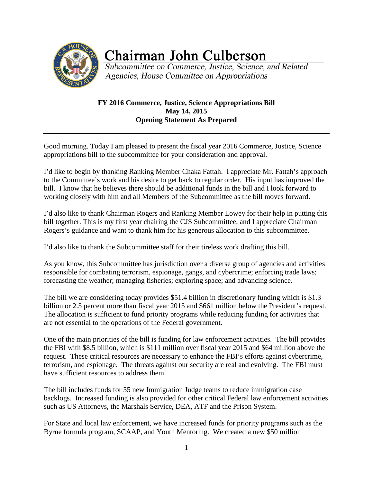<span id="page-2-0"></span>

### Chairman John Culberson

Subcommittee on Commerce, Justice, Science, and Related Agencies, House Committee on Appropriations

#### **FY 2016 Commerce, Justice, Science Appropriations Bill May 14, 2015 Opening Statement As Prepared**

Good morning. Today I am pleased to present the fiscal year 2016 Commerce, Justice, Science appropriations bill to the subcommittee for your consideration and approval.

I'd like to begin by thanking Ranking Member Chaka Fattah. I appreciate Mr. Fattah's approach to the Committee's work and his desire to get back to regular order. His input has improved the bill. I know that he believes there should be additional funds in the bill and I look forward to working closely with him and all Members of the Subcommittee as the bill moves forward.

I'd also like to thank Chairman Rogers and Ranking Member Lowey for their help in putting this bill together. This is my first year chairing the CJS Subcommittee, and I appreciate Chairman Rogers's guidance and want to thank him for his generous allocation to this subcommittee.

I'd also like to thank the Subcommittee staff for their tireless work drafting this bill.

As you know, this Subcommittee has jurisdiction over a diverse group of agencies and activities responsible for combating terrorism, espionage, gangs, and cybercrime; enforcing trade laws; forecasting the weather; managing fisheries; exploring space; and advancing science.

The bill we are considering today provides \$51.4 billion in discretionary funding which is \$1.3 billion or 2.5 percent more than fiscal year 2015 and \$661 million below the President's request. The allocation is sufficient to fund priority programs while reducing funding for activities that are not essential to the operations of the Federal government.

One of the main priorities of the bill is funding for law enforcement activities. The bill provides the FBI with \$8.5 billion, which is \$111 million over fiscal year 2015 and \$64 million above the request. These critical resources are necessary to enhance the FBI's efforts against cybercrime, terrorism, and espionage. The threats against our security are real and evolving. The FBI must have sufficient resources to address them.

The bill includes funds for 55 new Immigration Judge teams to reduce immigration case backlogs. Increased funding is also provided for other critical Federal law enforcement activities such as US Attorneys, the Marshals Service, DEA, ATF and the Prison System.

For State and local law enforcement, we have increased funds for priority programs such as the Byrne formula program, SCAAP, and Youth Mentoring. We created a new \$50 million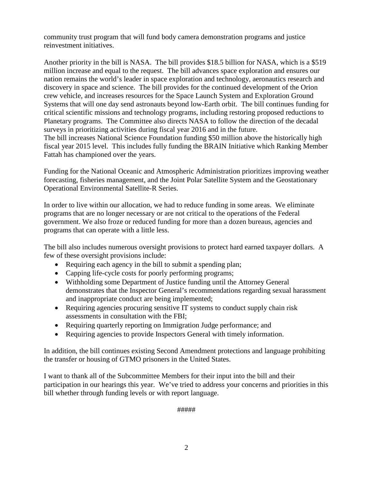community trust program that will fund body camera demonstration programs and justice reinvestment initiatives.

Another priority in the bill is NASA. The bill provides \$18.5 billion for NASA, which is a \$519 million increase and equal to the request. The bill advances space exploration and ensures our nation remains the world's leader in space exploration and technology, aeronautics research and discovery in space and science. The bill provides for the continued development of the Orion crew vehicle, and increases resources for the Space Launch System and Exploration Ground Systems that will one day send astronauts beyond low-Earth orbit. The bill continues funding for critical scientific missions and technology programs, including restoring proposed reductions to Planetary programs. The Committee also directs NASA to follow the direction of the decadal surveys in prioritizing activities during fiscal year 2016 and in the future. The bill increases National Science Foundation funding \$50 million above the historically high fiscal year 2015 level. This includes fully funding the BRAIN Initiative which Ranking Member Fattah has championed over the years.

Funding for the National Oceanic and Atmospheric Administration prioritizes improving weather forecasting, fisheries management, and the Joint Polar Satellite System and the Geostationary Operational Environmental Satellite-R Series.

In order to live within our allocation, we had to reduce funding in some areas. We eliminate programs that are no longer necessary or are not critical to the operations of the Federal government. We also froze or reduced funding for more than a dozen bureaus, agencies and programs that can operate with a little less.

The bill also includes numerous oversight provisions to protect hard earned taxpayer dollars. A few of these oversight provisions include:

- Requiring each agency in the bill to submit a spending plan;
- Capping life-cycle costs for poorly performing programs;
- Withholding some Department of Justice funding until the Attorney General demonstrates that the Inspector General's recommendations regarding sexual harassment and inappropriate conduct are being implemented;
- Requiring agencies procuring sensitive IT systems to conduct supply chain risk assessments in consultation with the FBI;
- Requiring quarterly reporting on Immigration Judge performance; and
- Requiring agencies to provide Inspectors General with timely information.

In addition, the bill continues existing Second Amendment protections and language prohibiting the transfer or housing of GTMO prisoners in the United States.

I want to thank all of the Subcommittee Members for their input into the bill and their participation in our hearings this year. We've tried to address your concerns and priorities in this bill whether through funding levels or with report language.

#####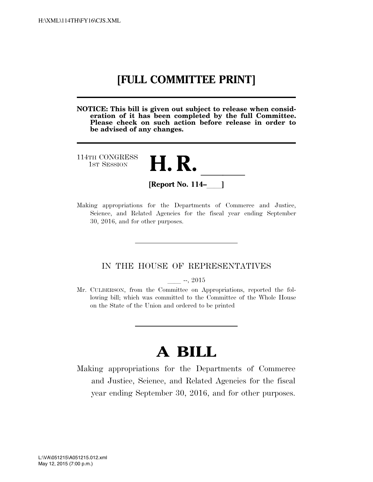### **[FULL COMMITTEE PRINT]**

<span id="page-4-0"></span>**NOTICE: This bill is given out subject to release when consideration of it has been completed by the full Committee. Please check on such action before release in order to be advised of any changes.** 

114TH CONGRESS<br>1st Session

## **H. R.**

**[Report No. 114–**ll**]** 

Making appropriations for the Departments of Commerce and Justice, Science, and Related Agencies for the fiscal year ending September 30, 2016, and for other purposes.

#### IN THE HOUSE OF REPRESENTATIVES

 $-$ , 2015

Mr. CULBERSON, from the Committee on Appropriations, reported the following bill; which was committed to the Committee of the Whole House on the State of the Union and ordered to be printed

### **A BILL**

Making appropriations for the Departments of Commerce and Justice, Science, and Related Agencies for the fiscal year ending September 30, 2016, and for other purposes.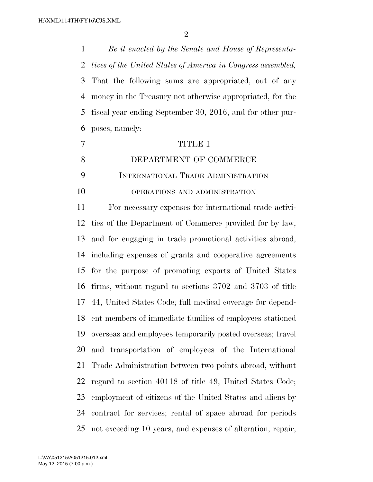*Be it enacted by the Senate and House of Representa- tives of the United States of America in Congress assembled,*  That the following sums are appropriated, out of any money in the Treasury not otherwise appropriated, for the fiscal year ending September 30, 2016, and for other pur-poses, namely:

#### TITLE I

#### DEPARTMENT OF COMMERCE

INTERNATIONAL TRADE ADMINISTRATION

OPERATIONS AND ADMINISTRATION

 For necessary expenses for international trade activi- ties of the Department of Commerce provided for by law, and for engaging in trade promotional activities abroad, including expenses of grants and cooperative agreements for the purpose of promoting exports of United States firms, without regard to sections 3702 and 3703 of title 44, United States Code; full medical coverage for depend- ent members of immediate families of employees stationed overseas and employees temporarily posted overseas; travel and transportation of employees of the International Trade Administration between two points abroad, without regard to section 40118 of title 49, United States Code; employment of citizens of the United States and aliens by contract for services; rental of space abroad for periods not exceeding 10 years, and expenses of alteration, repair,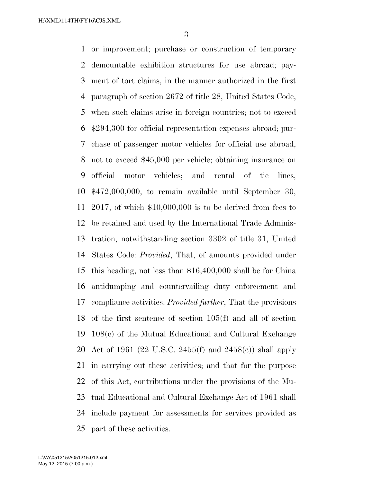H:\XML\114TH\FY16\CJS.XML

 or improvement; purchase or construction of temporary demountable exhibition structures for use abroad; pay- ment of tort claims, in the manner authorized in the first paragraph of section 2672 of title 28, United States Code, when such claims arise in foreign countries; not to exceed \$294,300 for official representation expenses abroad; pur- chase of passenger motor vehicles for official use abroad, not to exceed \$45,000 per vehicle; obtaining insurance on official motor vehicles; and rental of tie lines, \$472,000,000, to remain available until September 30, 2017, of which \$10,000,000 is to be derived from fees to be retained and used by the International Trade Adminis- tration, notwithstanding section 3302 of title 31, United States Code: *Provided*, That, of amounts provided under this heading, not less than \$16,400,000 shall be for China antidumping and countervailing duty enforcement and compliance activities: *Provided further*, That the provisions of the first sentence of section 105(f) and all of section 108(c) of the Mutual Educational and Cultural Exchange Act of 1961 (22 U.S.C. 2455(f) and 2458(c)) shall apply in carrying out these activities; and that for the purpose of this Act, contributions under the provisions of the Mu- tual Educational and Cultural Exchange Act of 1961 shall include payment for assessments for services provided as part of these activities.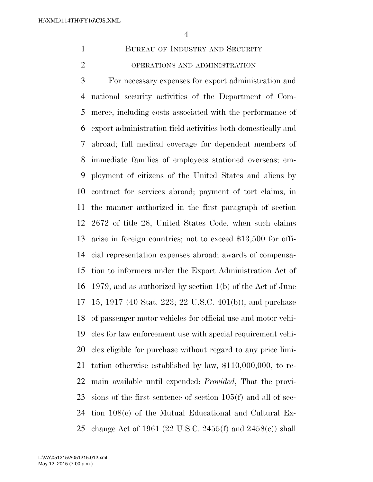1 BUREAU OF INDUSTRY AND SECURITY

#### OPERATIONS AND ADMINISTRATION

 For necessary expenses for export administration and national security activities of the Department of Com- merce, including costs associated with the performance of export administration field activities both domestically and abroad; full medical coverage for dependent members of immediate families of employees stationed overseas; em- ployment of citizens of the United States and aliens by contract for services abroad; payment of tort claims, in the manner authorized in the first paragraph of section 2672 of title 28, United States Code, when such claims arise in foreign countries; not to exceed \$13,500 for offi- cial representation expenses abroad; awards of compensa- tion to informers under the Export Administration Act of 1979, and as authorized by section 1(b) of the Act of June 15, 1917 (40 Stat. 223; 22 U.S.C. 401(b)); and purchase of passenger motor vehicles for official use and motor vehi- cles for law enforcement use with special requirement vehi- cles eligible for purchase without regard to any price limi- tation otherwise established by law, \$110,000,000, to re- main available until expended: *Provided*, That the provi- sions of the first sentence of section 105(f) and all of sec- tion 108(c) of the Mutual Educational and Cultural Ex-change Act of 1961 (22 U.S.C. 2455(f) and 2458(c)) shall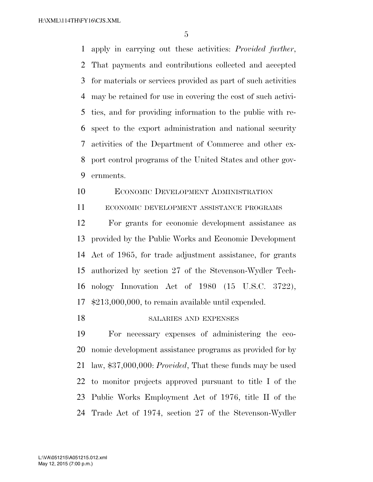H:\XML\114TH\FY16\CJS.XML

 apply in carrying out these activities: *Provided further*, That payments and contributions collected and accepted for materials or services provided as part of such activities may be retained for use in covering the cost of such activi- ties, and for providing information to the public with re- spect to the export administration and national security activities of the Department of Commerce and other ex- port control programs of the United States and other gov-ernments.

#### ECONOMIC DEVELOPMENT ADMINISTRATION

ECONOMIC DEVELOPMENT ASSISTANCE PROGRAMS

 For grants for economic development assistance as provided by the Public Works and Economic Development Act of 1965, for trade adjustment assistance, for grants authorized by section 27 of the Stevenson-Wydler Tech- nology Innovation Act of 1980 (15 U.S.C. 3722), \$213,000,000, to remain available until expended.

#### SALARIES AND EXPENSES

 For necessary expenses of administering the eco- nomic development assistance programs as provided for by law, \$37,000,000: *Provided*, That these funds may be used to monitor projects approved pursuant to title I of the Public Works Employment Act of 1976, title II of the Trade Act of 1974, section 27 of the Stevenson-Wydler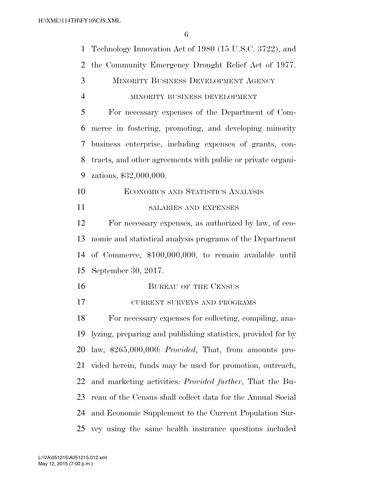Technology Innovation Act of 1980 (15 U.S.C. 3722), and the Community Emergency Drought Relief Act of 1977. MINORITY BUSINESS DEVELOPMENT AGENCY MINORITY BUSINESS DEVELOPMENT For necessary expenses of the Department of Com- merce in fostering, promoting, and developing minority business enterprise, including expenses of grants, con- tracts, and other agreements with public or private organi- zations, \$32,000,000. ECONOMICS AND STATISTICS ANALYSIS SALARIES AND EXPENSES For necessary expenses, as authorized by law, of eco- nomic and statistical analysis programs of the Department of Commerce, \$100,000,000, to remain available until September 30, 2017. 16 BUREAU OF THE CENSUS CURRENT SURVEYS AND PROGRAMS For necessary expenses for collecting, compiling, ana- lyzing, preparing and publishing statistics, provided for by law, \$265,000,000: *Provided*, That, from amounts pro- vided herein, funds may be used for promotion, outreach, and marketing activities: *Provided further*, That the Bu- reau of the Census shall collect data for the Annual Social and Economic Supplement to the Current Population Sur-vey using the same health insurance questions included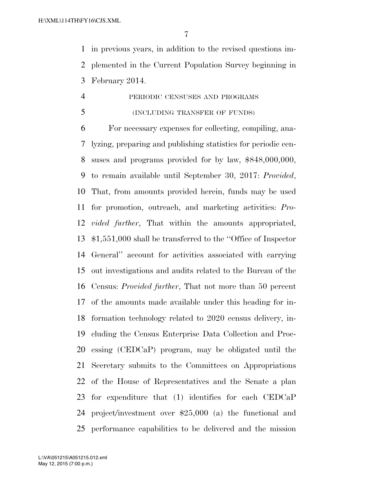in previous years, in addition to the revised questions im- plemented in the Current Population Survey beginning in February 2014.

### PERIODIC CENSUSES AND PROGRAMS (INCLUDING TRANSFER OF FUNDS)

 For necessary expenses for collecting, compiling, ana- lyzing, preparing and publishing statistics for periodic cen- suses and programs provided for by law, \$848,000,000, to remain available until September 30, 2017: *Provided*, That, from amounts provided herein, funds may be used for promotion, outreach, and marketing activities: *Pro- vided further*, That within the amounts appropriated, \$1,551,000 shall be transferred to the ''Office of Inspector General'' account for activities associated with carrying out investigations and audits related to the Bureau of the Census: *Provided further*, That not more than 50 percent of the amounts made available under this heading for in- formation technology related to 2020 census delivery, in- cluding the Census Enterprise Data Collection and Proc- essing (CEDCaP) program, may be obligated until the Secretary submits to the Committees on Appropriations of the House of Representatives and the Senate a plan for expenditure that (1) identifies for each CEDCaP project/investment over \$25,000 (a) the functional and performance capabilities to be delivered and the mission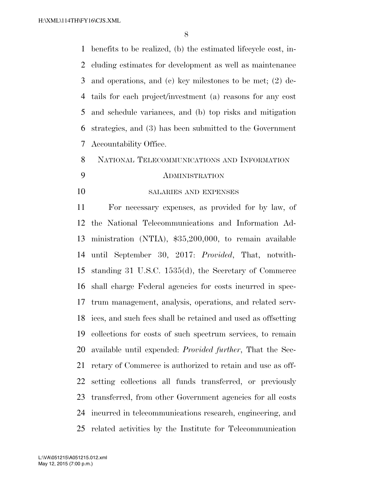benefits to be realized, (b) the estimated lifecycle cost, in- cluding estimates for development as well as maintenance and operations, and (c) key milestones to be met; (2) de- tails for each project/investment (a) reasons for any cost and schedule variances, and (b) top risks and mitigation strategies, and (3) has been submitted to the Government Accountability Office.

#### NATIONAL TELECOMMUNICATIONS AND INFORMATION

#### ADMINISTRATION

10 SALARIES AND EXPENSES

 For necessary expenses, as provided for by law, of the National Telecommunications and Information Ad- ministration (NTIA), \$35,200,000, to remain available until September 30, 2017: *Provided*, That, notwith- standing 31 U.S.C. 1535(d), the Secretary of Commerce shall charge Federal agencies for costs incurred in spec- trum management, analysis, operations, and related serv- ices, and such fees shall be retained and used as offsetting collections for costs of such spectrum services, to remain available until expended: *Provided further*, That the Sec- retary of Commerce is authorized to retain and use as off- setting collections all funds transferred, or previously transferred, from other Government agencies for all costs incurred in telecommunications research, engineering, and related activities by the Institute for Telecommunication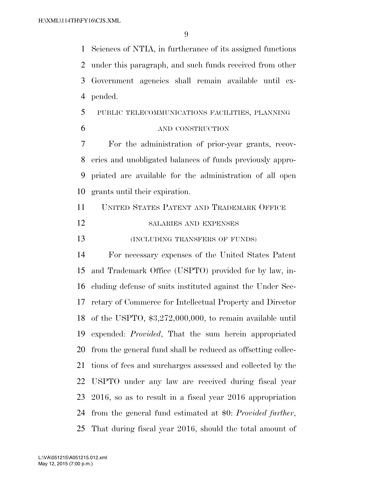Sciences of NTIA, in furtherance of its assigned functions under this paragraph, and such funds received from other Government agencies shall remain available until ex-pended.

### PUBLIC TELECOMMUNICATIONS FACILITIES, PLANNING AND CONSTRUCTION

 For the administration of prior-year grants, recov- eries and unobligated balances of funds previously appro- priated are available for the administration of all open grants until their expiration.

| 11 | UNITED STATES PATENT AND TRADEMARK OFFICE |
|----|-------------------------------------------|
| 12 | <b>SALARIES AND EXPENSES</b>              |

**(INCLUDING TRANSFERS OF FUNDS)** 

 For necessary expenses of the United States Patent and Trademark Office (USPTO) provided for by law, in- cluding defense of suits instituted against the Under Sec- retary of Commerce for Intellectual Property and Director of the USPTO, \$3,272,000,000, to remain available until expended: *Provided*, That the sum herein appropriated from the general fund shall be reduced as offsetting collec- tions of fees and surcharges assessed and collected by the USPTO under any law are received during fiscal year 2016, so as to result in a fiscal year 2016 appropriation from the general fund estimated at \$0: *Provided further*, That during fiscal year 2016, should the total amount of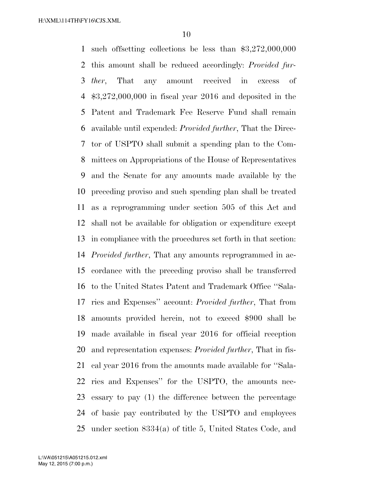H:\XML\114TH\FY16\CJS.XML

 such offsetting collections be less than \$3,272,000,000 this amount shall be reduced accordingly: *Provided fur- ther*, That any amount received in excess of \$3,272,000,000 in fiscal year 2016 and deposited in the Patent and Trademark Fee Reserve Fund shall remain available until expended: *Provided further*, That the Direc- tor of USPTO shall submit a spending plan to the Com- mittees on Appropriations of the House of Representatives and the Senate for any amounts made available by the preceding proviso and such spending plan shall be treated as a reprogramming under section 505 of this Act and shall not be available for obligation or expenditure except in compliance with the procedures set forth in that section: *Provided further*, That any amounts reprogrammed in ac- cordance with the preceding proviso shall be transferred to the United States Patent and Trademark Office ''Sala- ries and Expenses'' account: *Provided further*, That from amounts provided herein, not to exceed \$900 shall be made available in fiscal year 2016 for official reception and representation expenses: *Provided further*, That in fis- cal year 2016 from the amounts made available for ''Sala- ries and Expenses'' for the USPTO, the amounts nec- essary to pay (1) the difference between the percentage of basic pay contributed by the USPTO and employees under section 8334(a) of title 5, United States Code, and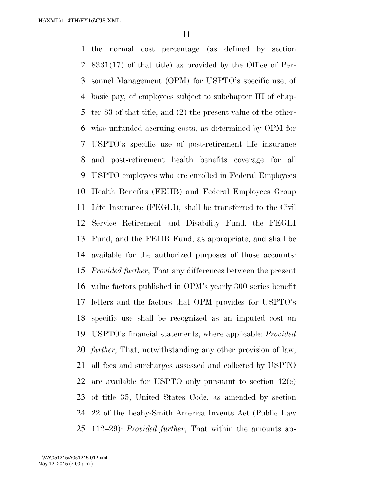the normal cost percentage (as defined by section 8331(17) of that title) as provided by the Office of Per- sonnel Management (OPM) for USPTO's specific use, of basic pay, of employees subject to subchapter III of chap- ter 83 of that title, and (2) the present value of the other- wise unfunded accruing costs, as determined by OPM for USPTO's specific use of post-retirement life insurance and post-retirement health benefits coverage for all USPTO employees who are enrolled in Federal Employees Health Benefits (FEHB) and Federal Employees Group Life Insurance (FEGLI), shall be transferred to the Civil Service Retirement and Disability Fund, the FEGLI Fund, and the FEHB Fund, as appropriate, and shall be available for the authorized purposes of those accounts: *Provided further*, That any differences between the present value factors published in OPM's yearly 300 series benefit letters and the factors that OPM provides for USPTO's specific use shall be recognized as an imputed cost on USPTO's financial statements, where applicable: *Provided further*, That, notwithstanding any other provision of law, all fees and surcharges assessed and collected by USPTO are available for USPTO only pursuant to section 42(c) of title 35, United States Code, as amended by section 22 of the Leahy-Smith America Invents Act (Public Law 112–29): *Provided further*, That within the amounts ap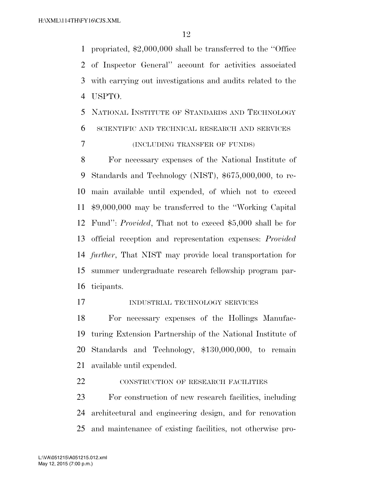propriated, \$2,000,000 shall be transferred to the ''Office of Inspector General'' account for activities associated with carrying out investigations and audits related to the USPTO.

 NATIONAL INSTITUTE OF STANDARDS AND TECHNOLOGY SCIENTIFIC AND TECHNICAL RESEARCH AND SERVICES (INCLUDING TRANSFER OF FUNDS)

 For necessary expenses of the National Institute of Standards and Technology (NIST), \$675,000,000, to re- main available until expended, of which not to exceed \$9,000,000 may be transferred to the ''Working Capital Fund'': *Provided*, That not to exceed \$5,000 shall be for official reception and representation expenses: *Provided further*, That NIST may provide local transportation for summer undergraduate research fellowship program par-ticipants.

17 INDUSTRIAL TECHNOLOGY SERVICES

 For necessary expenses of the Hollings Manufac- turing Extension Partnership of the National Institute of Standards and Technology, \$130,000,000, to remain available until expended.

**CONSTRUCTION OF RESEARCH FACILITIES** 

 For construction of new research facilities, including architectural and engineering design, and for renovation and maintenance of existing facilities, not otherwise pro-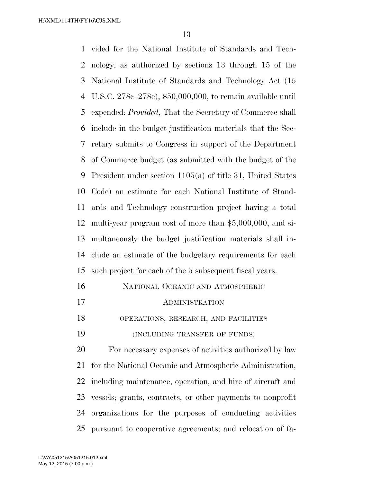vided for the National Institute of Standards and Tech- nology, as authorized by sections 13 through 15 of the National Institute of Standards and Technology Act (15 U.S.C. 278c–278e), \$50,000,000, to remain available until expended: *Provided*, That the Secretary of Commerce shall include in the budget justification materials that the Sec- retary submits to Congress in support of the Department of Commerce budget (as submitted with the budget of the President under section 1105(a) of title 31, United States Code) an estimate for each National Institute of Stand- ards and Technology construction project having a total multi-year program cost of more than \$5,000,000, and si- multaneously the budget justification materials shall in- clude an estimate of the budgetary requirements for each such project for each of the 5 subsequent fiscal years. NATIONAL OCEANIC AND ATMOSPHERIC ADMINISTRATION OPERATIONS, RESEARCH, AND FACILITIES

(INCLUDING TRANSFER OF FUNDS)

 For necessary expenses of activities authorized by law for the National Oceanic and Atmospheric Administration, including maintenance, operation, and hire of aircraft and vessels; grants, contracts, or other payments to nonprofit organizations for the purposes of conducting activities pursuant to cooperative agreements; and relocation of fa-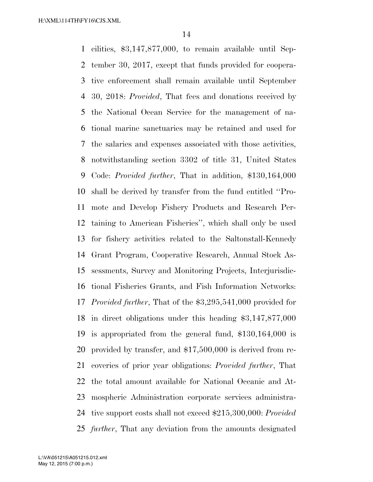cilities, \$3,147,877,000, to remain available until Sep- tember 30, 2017, except that funds provided for coopera- tive enforcement shall remain available until September 30, 2018: *Provided*, That fees and donations received by the National Ocean Service for the management of na- tional marine sanctuaries may be retained and used for the salaries and expenses associated with those activities, notwithstanding section 3302 of title 31, United States Code: *Provided further*, That in addition, \$130,164,000 shall be derived by transfer from the fund entitled ''Pro- mote and Develop Fishery Products and Research Per- taining to American Fisheries'', which shall only be used for fishery activities related to the Saltonstall-Kennedy Grant Program, Cooperative Research, Annual Stock As- sessments, Survey and Monitoring Projects, Interjurisdic- tional Fisheries Grants, and Fish Information Networks: *Provided further*, That of the \$3,295,541,000 provided for in direct obligations under this heading \$3,147,877,000 is appropriated from the general fund, \$130,164,000 is provided by transfer, and \$17,500,000 is derived from re- coveries of prior year obligations: *Provided further*, That the total amount available for National Oceanic and At- mospheric Administration corporate services administra- tive support costs shall not exceed \$215,300,000: *Provided further*, That any deviation from the amounts designated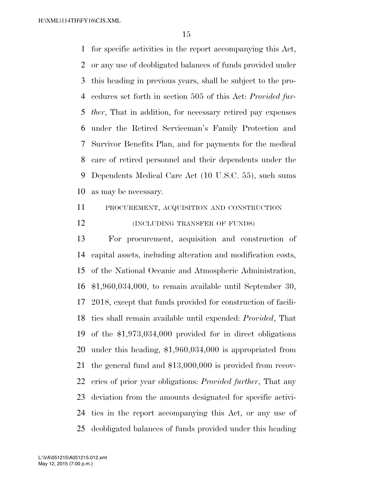for specific activities in the report accompanying this Act, or any use of deobligated balances of funds provided under this heading in previous years, shall be subject to the pro- cedures set forth in section 505 of this Act: *Provided fur- ther*, That in addition, for necessary retired pay expenses under the Retired Serviceman's Family Protection and Survivor Benefits Plan, and for payments for the medical care of retired personnel and their dependents under the Dependents Medical Care Act (10 U.S.C. 55), such sums as may be necessary.

 PROCUREMENT, ACQUISITION AND CONSTRUCTION **(INCLUDING TRANSFER OF FUNDS)** 

 For procurement, acquisition and construction of capital assets, including alteration and modification costs, of the National Oceanic and Atmospheric Administration, \$1,960,034,000, to remain available until September 30, 2018, except that funds provided for construction of facili- ties shall remain available until expended: *Provided*, That of the \$1,973,034,000 provided for in direct obligations under this heading, \$1,960,034,000 is appropriated from the general fund and \$13,000,000 is provided from recov- eries of prior year obligations: *Provided further*, That any deviation from the amounts designated for specific activi- ties in the report accompanying this Act, or any use of deobligated balances of funds provided under this heading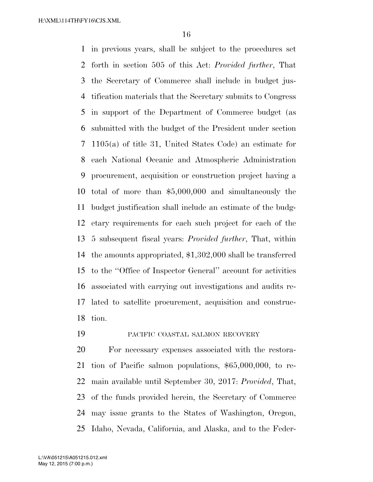in previous years, shall be subject to the procedures set forth in section 505 of this Act: *Provided further*, That the Secretary of Commerce shall include in budget jus- tification materials that the Secretary submits to Congress in support of the Department of Commerce budget (as submitted with the budget of the President under section 1105(a) of title 31, United States Code) an estimate for each National Oceanic and Atmospheric Administration procurement, acquisition or construction project having a total of more than \$5,000,000 and simultaneously the budget justification shall include an estimate of the budg- etary requirements for each such project for each of the 5 subsequent fiscal years: *Provided further*, That, within the amounts appropriated, \$1,302,000 shall be transferred to the ''Office of Inspector General'' account for activities associated with carrying out investigations and audits re- lated to satellite procurement, acquisition and construc-tion.

PACIFIC COASTAL SALMON RECOVERY

 For necessary expenses associated with the restora- tion of Pacific salmon populations, \$65,000,000, to re- main available until September 30, 2017: *Provided*, That, of the funds provided herein, the Secretary of Commerce may issue grants to the States of Washington, Oregon, Idaho, Nevada, California, and Alaska, and to the Feder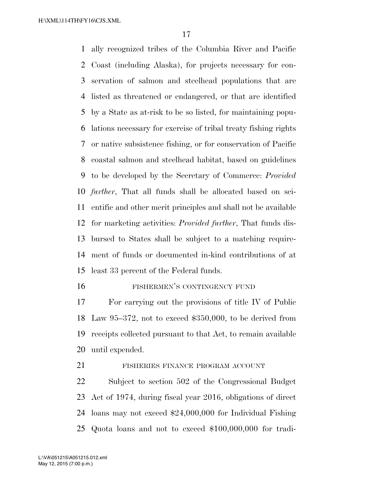H:\XML\114TH\FY16\CJS.XML

 ally recognized tribes of the Columbia River and Pacific Coast (including Alaska), for projects necessary for con- servation of salmon and steelhead populations that are listed as threatened or endangered, or that are identified by a State as at-risk to be so listed, for maintaining popu- lations necessary for exercise of tribal treaty fishing rights or native subsistence fishing, or for conservation of Pacific coastal salmon and steelhead habitat, based on guidelines to be developed by the Secretary of Commerce: *Provided further*, That all funds shall be allocated based on sci- entific and other merit principles and shall not be available for marketing activities: *Provided further*, That funds dis- bursed to States shall be subject to a matching require- ment of funds or documented in-kind contributions of at least 33 percent of the Federal funds.

#### 16 FISHERMEN'S CONTINGENCY FUND

 For carrying out the provisions of title IV of Public Law 95–372, not to exceed \$350,000, to be derived from receipts collected pursuant to that Act, to remain available until expended.

#### 21 FISHERIES FINANCE PROGRAM ACCOUNT

 Subject to section 502 of the Congressional Budget Act of 1974, during fiscal year 2016, obligations of direct loans may not exceed \$24,000,000 for Individual Fishing Quota loans and not to exceed \$100,000,000 for tradi-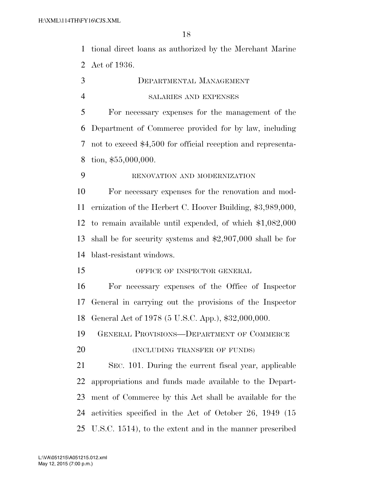tional direct loans as authorized by the Merchant Marine Act of 1936.

 DEPARTMENTAL MANAGEMENT SALARIES AND EXPENSES

 For necessary expenses for the management of the Department of Commerce provided for by law, including not to exceed \$4,500 for official reception and representa-tion, \$55,000,000.

RENOVATION AND MODERNIZATION

 For necessary expenses for the renovation and mod- ernization of the Herbert C. Hoover Building, \$3,989,000, to remain available until expended, of which \$1,082,000 shall be for security systems and \$2,907,000 shall be for blast-resistant windows.

15 OFFICE OF INSPECTOR GENERAL

 For necessary expenses of the Office of Inspector General in carrying out the provisions of the Inspector General Act of 1978 (5 U.S.C. App.), \$32,000,000.

GENERAL PROVISIONS—DEPARTMENT OF COMMERCE

**(INCLUDING TRANSFER OF FUNDS)** 

 SEC. 101. During the current fiscal year, applicable appropriations and funds made available to the Depart- ment of Commerce by this Act shall be available for the activities specified in the Act of October 26, 1949 (15 U.S.C. 1514), to the extent and in the manner prescribed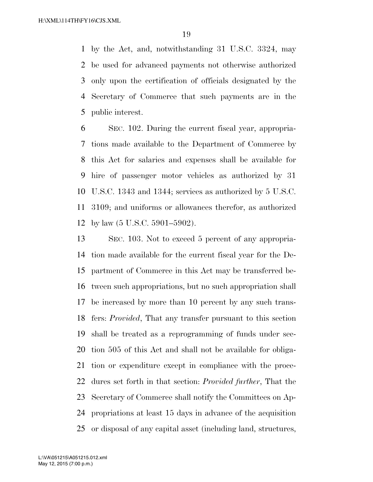by the Act, and, notwithstanding 31 U.S.C. 3324, may be used for advanced payments not otherwise authorized only upon the certification of officials designated by the Secretary of Commerce that such payments are in the public interest.

 SEC. 102. During the current fiscal year, appropria- tions made available to the Department of Commerce by this Act for salaries and expenses shall be available for hire of passenger motor vehicles as authorized by 31 U.S.C. 1343 and 1344; services as authorized by 5 U.S.C. 3109; and uniforms or allowances therefor, as authorized by law (5 U.S.C. 5901–5902).

 SEC. 103. Not to exceed 5 percent of any appropria- tion made available for the current fiscal year for the De- partment of Commerce in this Act may be transferred be- tween such appropriations, but no such appropriation shall be increased by more than 10 percent by any such trans- fers: *Provided*, That any transfer pursuant to this section shall be treated as a reprogramming of funds under sec- tion 505 of this Act and shall not be available for obliga- tion or expenditure except in compliance with the proce- dures set forth in that section: *Provided further*, That the Secretary of Commerce shall notify the Committees on Ap- propriations at least 15 days in advance of the acquisition or disposal of any capital asset (including land, structures,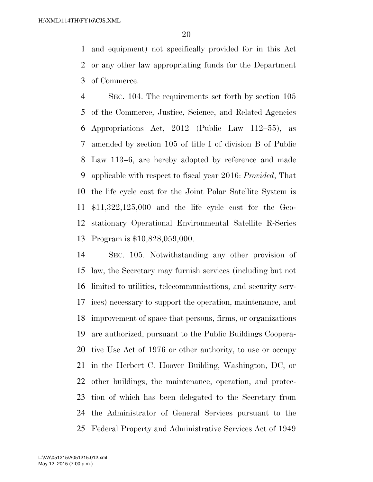and equipment) not specifically provided for in this Act or any other law appropriating funds for the Department of Commerce.

 SEC. 104. The requirements set forth by section 105 of the Commerce, Justice, Science, and Related Agencies Appropriations Act, 2012 (Public Law 112–55), as amended by section 105 of title I of division B of Public Law 113–6, are hereby adopted by reference and made applicable with respect to fiscal year 2016: *Provided*, That the life cycle cost for the Joint Polar Satellite System is \$11,322,125,000 and the life cycle cost for the Geo- stationary Operational Environmental Satellite R-Series Program is \$10,828,059,000.

 SEC. 105. Notwithstanding any other provision of law, the Secretary may furnish services (including but not limited to utilities, telecommunications, and security serv- ices) necessary to support the operation, maintenance, and improvement of space that persons, firms, or organizations are authorized, pursuant to the Public Buildings Coopera- tive Use Act of 1976 or other authority, to use or occupy in the Herbert C. Hoover Building, Washington, DC, or other buildings, the maintenance, operation, and protec- tion of which has been delegated to the Secretary from the Administrator of General Services pursuant to the Federal Property and Administrative Services Act of 1949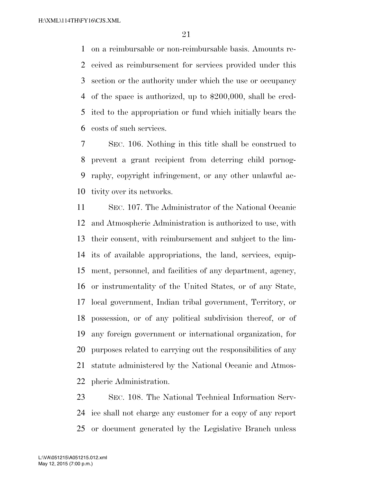on a reimbursable or non-reimbursable basis. Amounts re- ceived as reimbursement for services provided under this section or the authority under which the use or occupancy of the space is authorized, up to \$200,000, shall be cred- ited to the appropriation or fund which initially bears the costs of such services.

 SEC. 106. Nothing in this title shall be construed to prevent a grant recipient from deterring child pornog- raphy, copyright infringement, or any other unlawful ac-tivity over its networks.

 SEC. 107. The Administrator of the National Oceanic and Atmospheric Administration is authorized to use, with their consent, with reimbursement and subject to the lim- its of available appropriations, the land, services, equip- ment, personnel, and facilities of any department, agency, or instrumentality of the United States, or of any State, local government, Indian tribal government, Territory, or possession, or of any political subdivision thereof, or of any foreign government or international organization, for purposes related to carrying out the responsibilities of any statute administered by the National Oceanic and Atmos-pheric Administration.

 SEC. 108. The National Technical Information Serv- ice shall not charge any customer for a copy of any report or document generated by the Legislative Branch unless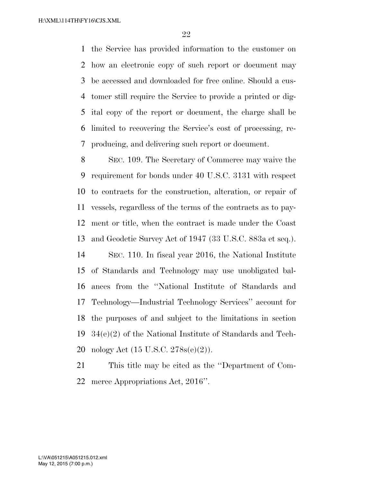the Service has provided information to the customer on how an electronic copy of such report or document may be accessed and downloaded for free online. Should a cus- tomer still require the Service to provide a printed or dig- ital copy of the report or document, the charge shall be limited to recovering the Service's cost of processing, re-producing, and delivering such report or document.

 SEC. 109. The Secretary of Commerce may waive the requirement for bonds under 40 U.S.C. 3131 with respect to contracts for the construction, alteration, or repair of vessels, regardless of the terms of the contracts as to pay- ment or title, when the contract is made under the Coast and Geodetic Survey Act of 1947 (33 U.S.C. 883a et seq.).

 SEC. 110. In fiscal year 2016, the National Institute of Standards and Technology may use unobligated bal- ances from the ''National Institute of Standards and Technology—Industrial Technology Services'' account for the purposes of and subject to the limitations in section 34(e)(2) of the National Institute of Standards and Tech-nology Act (15 U.S.C. 278s(e)(2)).

 This title may be cited as the ''Department of Com-merce Appropriations Act, 2016''.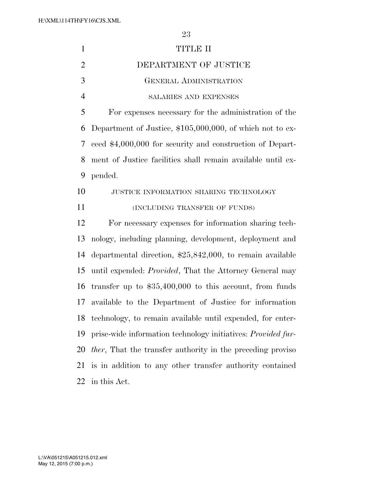| $\mathbf{1}$   | <b>TITLE II</b>                                                     |
|----------------|---------------------------------------------------------------------|
| $\overline{2}$ | DEPARTMENT OF JUSTICE                                               |
| 3              | <b>GENERAL ADMINISTRATION</b>                                       |
| $\overline{4}$ | SALARIES AND EXPENSES                                               |
| 5              | For expenses necessary for the administration of the                |
| 6              | Department of Justice, \$105,000,000, of which not to ex-           |
| 7              | ceed \$4,000,000 for security and construction of Depart-           |
| 8              | ment of Justice facilities shall remain available until ex-         |
| 9              | pended.                                                             |
| 10             | JUSTICE INFORMATION SHARING TECHNOLOGY                              |
| 11             | (INCLUDING TRANSFER OF FUNDS)                                       |
| 12             | For necessary expenses for information sharing tech-                |
| 13             | nology, including planning, development, deployment and             |
| 14             | departmental direction, $$25,842,000$ , to remain available         |
| 15             | until expended: <i>Provided</i> , That the Attorney General may     |
| 16             | transfer up to $$35,400,000$ to this account, from funds            |
| 17             | available to the Department of Justice for information              |
| 18             | technology, to remain available until expended, for enter-          |
| 19             | prise-wide information technology initiatives: <i>Provided fur-</i> |
| 20             | <i>ther</i> , That the transfer authority in the preceding proviso  |
| 21             | is in addition to any other transfer authority contained            |
| 22             | in this Act.                                                        |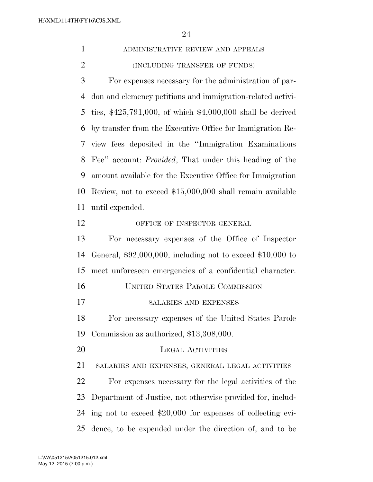$\Omega$ <sup>4</sup>

|                | 24                                                             |
|----------------|----------------------------------------------------------------|
| $\mathbf{1}$   | ADMINISTRATIVE REVIEW AND APPEALS                              |
| $\overline{2}$ | (INCLUDING TRANSFER OF FUNDS)                                  |
| 3              | For expenses necessary for the administration of par-          |
| 4              | don and elemency petitions and immigration-related activi-     |
| 5              | ties, $$425,791,000$ , of which $$4,000,000$ shall be derived  |
| 6              | by transfer from the Executive Office for Immigration Re-      |
| 7              | view fees deposited in the "Immigration Examinations"          |
| 8              | Fee" account: <i>Provided</i> , That under this heading of the |
| 9              | amount available for the Executive Office for Immigration      |
| 10             | Review, not to exceed $$15,000,000$ shall remain available     |
| 11             | until expended.                                                |
| 12             | OFFICE OF INSPECTOR GENERAL                                    |
| 13             | For necessary expenses of the Office of Inspector              |
| 14             | General, $$92,000,000$ , including not to exceed $$10,000$ to  |
| 15             | meet unforeseen emergencies of a confidential character.       |
| 16             | <b>UNITED STATES PAROLE COMMISSION</b>                         |
| 17             | SALARIES AND EXPENSES                                          |
| 18             | For necessary expenses of the United States Parole             |
| 19             | Commission as authorized, \$13,308,000.                        |
| 20             | <b>LEGAL ACTIVITIES</b>                                        |
| 21             | SALARIES AND EXPENSES, GENERAL LEGAL ACTIVITIES                |
| 22             | For expenses necessary for the legal activities of the         |

 For expenses necessary for the legal activities of the Department of Justice, not otherwise provided for, includ- ing not to exceed \$20,000 for expenses of collecting evi-dence, to be expended under the direction of, and to be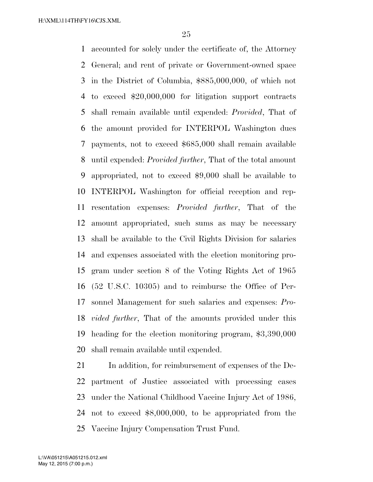accounted for solely under the certificate of, the Attorney General; and rent of private or Government-owned space in the District of Columbia, \$885,000,000, of which not to exceed \$20,000,000 for litigation support contracts shall remain available until expended: *Provided*, That of the amount provided for INTERPOL Washington dues payments, not to exceed \$685,000 shall remain available until expended: *Provided further*, That of the total amount appropriated, not to exceed \$9,000 shall be available to INTERPOL Washington for official reception and rep- resentation expenses: *Provided further*, That of the amount appropriated, such sums as may be necessary shall be available to the Civil Rights Division for salaries and expenses associated with the election monitoring pro- gram under section 8 of the Voting Rights Act of 1965 (52 U.S.C. 10305) and to reimburse the Office of Per- sonnel Management for such salaries and expenses: *Pro- vided further*, That of the amounts provided under this heading for the election monitoring program, \$3,390,000 shall remain available until expended.

 In addition, for reimbursement of expenses of the De- partment of Justice associated with processing cases under the National Childhood Vaccine Injury Act of 1986, not to exceed \$8,000,000, to be appropriated from the Vaccine Injury Compensation Trust Fund.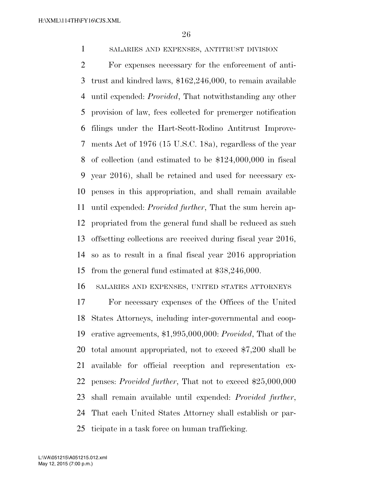SALARIES AND EXPENSES, ANTITRUST DIVISION

 For expenses necessary for the enforcement of anti- trust and kindred laws, \$162,246,000, to remain available until expended: *Provided*, That notwithstanding any other provision of law, fees collected for premerger notification filings under the Hart-Scott-Rodino Antitrust Improve- ments Act of 1976 (15 U.S.C. 18a), regardless of the year of collection (and estimated to be \$124,000,000 in fiscal year 2016), shall be retained and used for necessary ex- penses in this appropriation, and shall remain available until expended: *Provided further*, That the sum herein ap- propriated from the general fund shall be reduced as such offsetting collections are received during fiscal year 2016, so as to result in a final fiscal year 2016 appropriation from the general fund estimated at \$38,246,000.

SALARIES AND EXPENSES, UNITED STATES ATTORNEYS

 For necessary expenses of the Offices of the United States Attorneys, including inter-governmental and coop- erative agreements, \$1,995,000,000: *Provided*, That of the total amount appropriated, not to exceed \$7,200 shall be available for official reception and representation ex- penses: *Provided further*, That not to exceed \$25,000,000 shall remain available until expended: *Provided further*, That each United States Attorney shall establish or par-ticipate in a task force on human trafficking.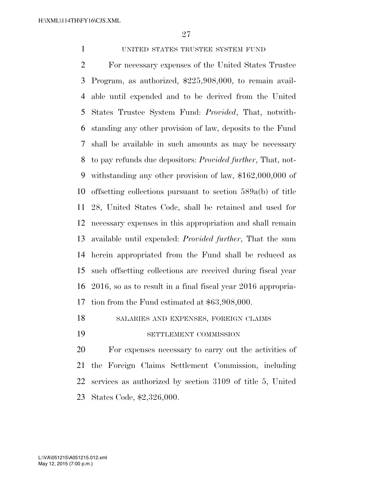UNITED STATES TRUSTEE SYSTEM FUND

 For necessary expenses of the United States Trustee Program, as authorized, \$225,908,000, to remain avail- able until expended and to be derived from the United States Trustee System Fund: *Provided*, That, notwith- standing any other provision of law, deposits to the Fund shall be available in such amounts as may be necessary to pay refunds due depositors: *Provided further*, That, not- withstanding any other provision of law, \$162,000,000 of offsetting collections pursuant to section 589a(b) of title 28, United States Code, shall be retained and used for necessary expenses in this appropriation and shall remain available until expended: *Provided further*, That the sum herein appropriated from the Fund shall be reduced as such offsetting collections are received during fiscal year 2016, so as to result in a final fiscal year 2016 appropria-tion from the Fund estimated at \$63,908,000.

SALARIES AND EXPENSES, FOREIGN CLAIMS

SETTLEMENT COMMISSION

 For expenses necessary to carry out the activities of the Foreign Claims Settlement Commission, including services as authorized by section 3109 of title 5, United States Code, \$2,326,000.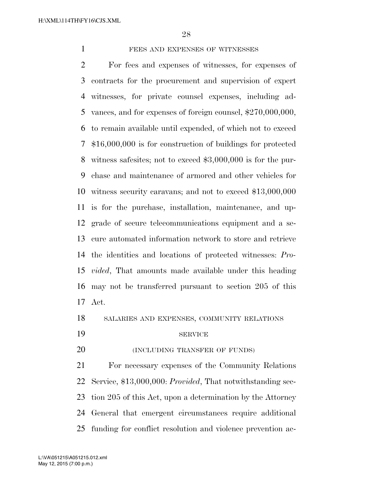#### 1 FEES AND EXPENSES OF WITNESSES

 For fees and expenses of witnesses, for expenses of contracts for the procurement and supervision of expert witnesses, for private counsel expenses, including ad- vances, and for expenses of foreign counsel, \$270,000,000, to remain available until expended, of which not to exceed \$16,000,000 is for construction of buildings for protected witness safesites; not to exceed \$3,000,000 is for the pur- chase and maintenance of armored and other vehicles for witness security caravans; and not to exceed \$13,000,000 is for the purchase, installation, maintenance, and up- grade of secure telecommunications equipment and a se- cure automated information network to store and retrieve the identities and locations of protected witnesses: *Pro- vided*, That amounts made available under this heading may not be transferred pursuant to section 205 of this Act.

SALARIES AND EXPENSES, COMMUNITY RELATIONS

19 SERVICE

**(INCLUDING TRANSFER OF FUNDS)** 

 For necessary expenses of the Community Relations Service, \$13,000,000: *Provided*, That notwithstanding sec- tion 205 of this Act, upon a determination by the Attorney General that emergent circumstances require additional funding for conflict resolution and violence prevention ac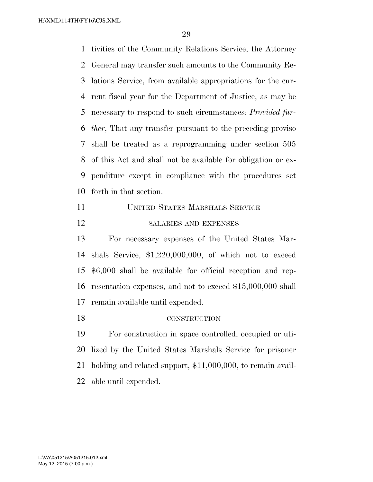H:\XML\114TH\FY16\CJS.XML

 tivities of the Community Relations Service, the Attorney General may transfer such amounts to the Community Re- lations Service, from available appropriations for the cur- rent fiscal year for the Department of Justice, as may be necessary to respond to such circumstances: *Provided fur- ther*, That any transfer pursuant to the preceding proviso shall be treated as a reprogramming under section 505 of this Act and shall not be available for obligation or ex- penditure except in compliance with the procedures set forth in that section.

 UNITED STATES MARSHALS SERVICE SALARIES AND EXPENSES

 For necessary expenses of the United States Mar- shals Service, \$1,220,000,000, of which not to exceed \$6,000 shall be available for official reception and rep- resentation expenses, and not to exceed \$15,000,000 shall remain available until expended.

CONSTRUCTION

 For construction in space controlled, occupied or uti- lized by the United States Marshals Service for prisoner holding and related support, \$11,000,000, to remain avail-able until expended.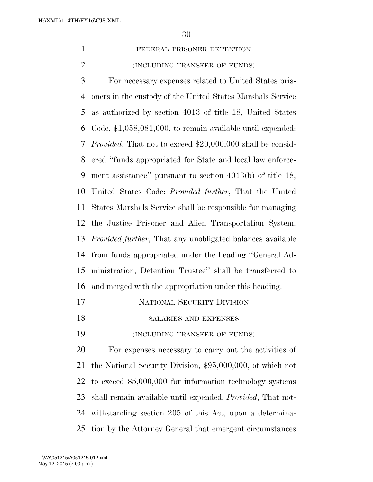FEDERAL PRISONER DETENTION

(INCLUDING TRANSFER OF FUNDS)

 For necessary expenses related to United States pris- oners in the custody of the United States Marshals Service as authorized by section 4013 of title 18, United States Code, \$1,058,081,000, to remain available until expended: *Provided*, That not to exceed \$20,000,000 shall be consid- ered ''funds appropriated for State and local law enforce- ment assistance'' pursuant to section 4013(b) of title 18, United States Code: *Provided further*, That the United States Marshals Service shall be responsible for managing the Justice Prisoner and Alien Transportation System: *Provided further*, That any unobligated balances available from funds appropriated under the heading ''General Ad- ministration, Detention Trustee'' shall be transferred to and merged with the appropriation under this heading.

- NATIONAL SECURITY DIVISION
- 18 SALARIES AND EXPENSES

(INCLUDING TRANSFER OF FUNDS)

 For expenses necessary to carry out the activities of the National Security Division, \$95,000,000, of which not to exceed \$5,000,000 for information technology systems shall remain available until expended: *Provided*, That not- withstanding section 205 of this Act, upon a determina-tion by the Attorney General that emergent circumstances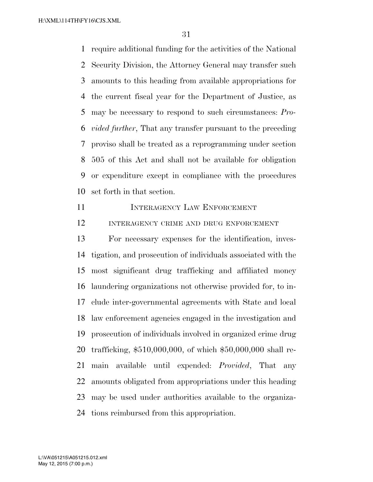H:\XML\114TH\FY16\CJS.XML

 require additional funding for the activities of the National Security Division, the Attorney General may transfer such amounts to this heading from available appropriations for the current fiscal year for the Department of Justice, as may be necessary to respond to such circumstances: *Pro- vided further*, That any transfer pursuant to the preceding proviso shall be treated as a reprogramming under section 505 of this Act and shall not be available for obligation or expenditure except in compliance with the procedures set forth in that section.

11 INTERAGENCY LAW ENFORCEMENT

INTERAGENCY CRIME AND DRUG ENFORCEMENT

 For necessary expenses for the identification, inves- tigation, and prosecution of individuals associated with the most significant drug trafficking and affiliated money laundering organizations not otherwise provided for, to in- clude inter-governmental agreements with State and local law enforcement agencies engaged in the investigation and prosecution of individuals involved in organized crime drug trafficking, \$510,000,000, of which \$50,000,000 shall re- main available until expended: *Provided*, That any amounts obligated from appropriations under this heading may be used under authorities available to the organiza-tions reimbursed from this appropriation.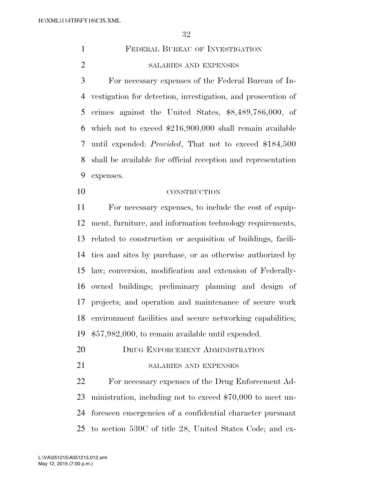### FEDERAL BUREAU OF INVESTIGATION SALARIES AND EXPENSES

 For necessary expenses of the Federal Bureau of In- vestigation for detection, investigation, and prosecution of crimes against the United States, \$8,489,786,000, of which not to exceed \$216,900,000 shall remain available until expended: *Provided*, That not to exceed \$184,500 shall be available for official reception and representation expenses.

CONSTRUCTION

 For necessary expenses, to include the cost of equip- ment, furniture, and information technology requirements, related to construction or acquisition of buildings, facili- ties and sites by purchase, or as otherwise authorized by law; conversion, modification and extension of Federally- owned buildings; preliminary planning and design of projects; and operation and maintenance of secure work environment facilities and secure networking capabilities; \$57,982,000, to remain available until expended.

- 20 DRUG ENFORCEMENT ADMINISTRATION
- 21 SALARIES AND EXPENSES

 For necessary expenses of the Drug Enforcement Ad- ministration, including not to exceed \$70,000 to meet un- foreseen emergencies of a confidential character pursuant to section 530C of title 28, United States Code; and ex-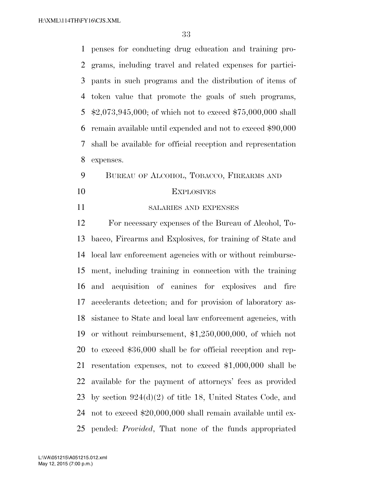H:\XML\114TH\FY16\CJS.XML

 penses for conducting drug education and training pro- grams, including travel and related expenses for partici- pants in such programs and the distribution of items of token value that promote the goals of such programs, \$2,073,945,000; of which not to exceed \$75,000,000 shall remain available until expended and not to exceed \$90,000 shall be available for official reception and representation expenses.

 BUREAU OF ALCOHOL, TOBACCO, FIREARMS AND EXPLOSIVES

SALARIES AND EXPENSES

 For necessary expenses of the Bureau of Alcohol, To- bacco, Firearms and Explosives, for training of State and local law enforcement agencies with or without reimburse- ment, including training in connection with the training and acquisition of canines for explosives and fire accelerants detection; and for provision of laboratory as- sistance to State and local law enforcement agencies, with or without reimbursement, \$1,250,000,000, of which not to exceed \$36,000 shall be for official reception and rep- resentation expenses, not to exceed \$1,000,000 shall be available for the payment of attorneys' fees as provided by section 924(d)(2) of title 18, United States Code, and not to exceed \$20,000,000 shall remain available until ex-pended: *Provided*, That none of the funds appropriated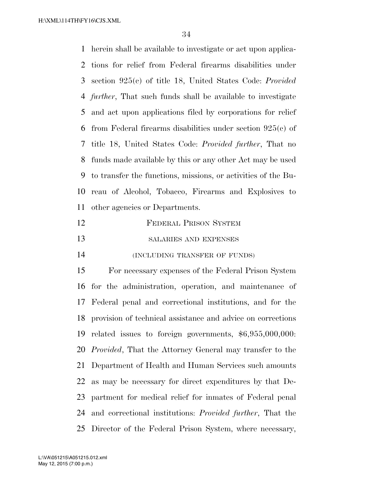herein shall be available to investigate or act upon applica- tions for relief from Federal firearms disabilities under section 925(c) of title 18, United States Code: *Provided further*, That such funds shall be available to investigate and act upon applications filed by corporations for relief from Federal firearms disabilities under section 925(c) of title 18, United States Code: *Provided further*, That no funds made available by this or any other Act may be used to transfer the functions, missions, or activities of the Bu- reau of Alcohol, Tobacco, Firearms and Explosives to other agencies or Departments.

| 12 | FEDERAL PRISON SYSTEM |  |
|----|-----------------------|--|
|    |                       |  |

13 SALARIES AND EXPENSES

(INCLUDING TRANSFER OF FUNDS)

 For necessary expenses of the Federal Prison System for the administration, operation, and maintenance of Federal penal and correctional institutions, and for the provision of technical assistance and advice on corrections related issues to foreign governments, \$6,955,000,000: *Provided*, That the Attorney General may transfer to the Department of Health and Human Services such amounts as may be necessary for direct expenditures by that De- partment for medical relief for inmates of Federal penal and correctional institutions: *Provided further*, That the Director of the Federal Prison System, where necessary,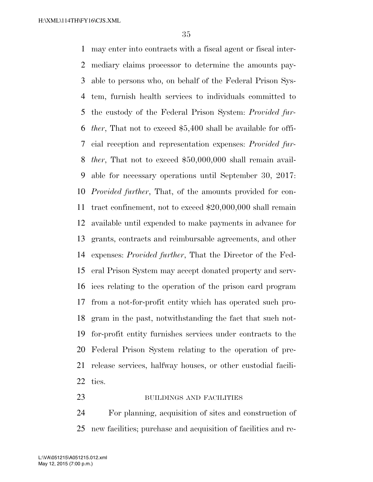H:\XML\114TH\FY16\CJS.XML

 may enter into contracts with a fiscal agent or fiscal inter- mediary claims processor to determine the amounts pay- able to persons who, on behalf of the Federal Prison Sys- tem, furnish health services to individuals committed to the custody of the Federal Prison System: *Provided fur- ther*, That not to exceed \$5,400 shall be available for offi- cial reception and representation expenses: *Provided fur- ther*, That not to exceed \$50,000,000 shall remain avail- able for necessary operations until September 30, 2017: *Provided further*, That, of the amounts provided for con- tract confinement, not to exceed \$20,000,000 shall remain available until expended to make payments in advance for grants, contracts and reimbursable agreements, and other expenses: *Provided further*, That the Director of the Fed- eral Prison System may accept donated property and serv- ices relating to the operation of the prison card program from a not-for-profit entity which has operated such pro- gram in the past, notwithstanding the fact that such not- for-profit entity furnishes services under contracts to the Federal Prison System relating to the operation of pre- release services, halfway houses, or other custodial facili-ties.

#### BUILDINGS AND FACILITIES

 For planning, acquisition of sites and construction of new facilities; purchase and acquisition of facilities and re-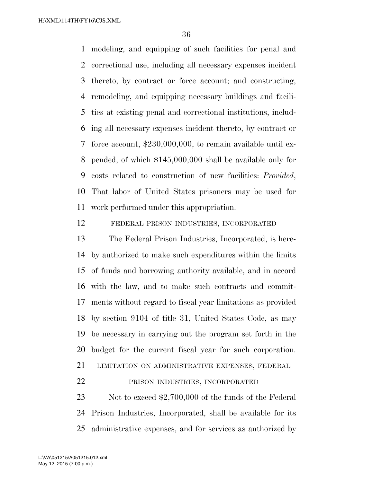modeling, and equipping of such facilities for penal and correctional use, including all necessary expenses incident thereto, by contract or force account; and constructing, remodeling, and equipping necessary buildings and facili- ties at existing penal and correctional institutions, includ- ing all necessary expenses incident thereto, by contract or force account, \$230,000,000, to remain available until ex- pended, of which \$145,000,000 shall be available only for costs related to construction of new facilities: *Provided*, That labor of United States prisoners may be used for work performed under this appropriation.

FEDERAL PRISON INDUSTRIES, INCORPORATED

 The Federal Prison Industries, Incorporated, is here- by authorized to make such expenditures within the limits of funds and borrowing authority available, and in accord with the law, and to make such contracts and commit- ments without regard to fiscal year limitations as provided by section 9104 of title 31, United States Code, as may be necessary in carrying out the program set forth in the budget for the current fiscal year for such corporation. LIMITATION ON ADMINISTRATIVE EXPENSES, FEDERAL

PRISON INDUSTRIES, INCORPORATED

 Not to exceed \$2,700,000 of the funds of the Federal Prison Industries, Incorporated, shall be available for its administrative expenses, and for services as authorized by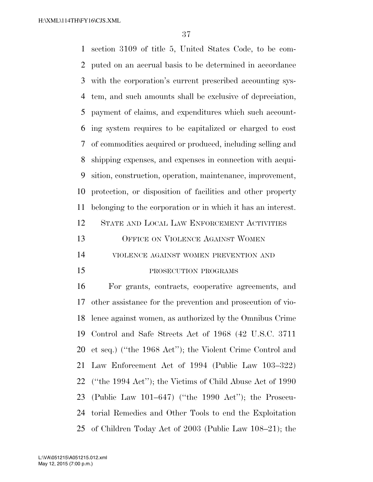section 3109 of title 5, United States Code, to be com- puted on an accrual basis to be determined in accordance with the corporation's current prescribed accounting sys- tem, and such amounts shall be exclusive of depreciation, payment of claims, and expenditures which such account- ing system requires to be capitalized or charged to cost of commodities acquired or produced, including selling and shipping expenses, and expenses in connection with acqui- sition, construction, operation, maintenance, improvement, protection, or disposition of facilities and other property belonging to the corporation or in which it has an interest. STATE AND LOCAL LAW ENFORCEMENT ACTIVITIES 13 OFFICE ON VIOLENCE AGAINST WOMEN VIOLENCE AGAINST WOMEN PREVENTION AND 15 PROSECUTION PROGRAMS For grants, contracts, cooperative agreements, and other assistance for the prevention and prosecution of vio-lence against women, as authorized by the Omnibus Crime

 Control and Safe Streets Act of 1968 (42 U.S.C. 3711 et seq.) (''the 1968 Act''); the Violent Crime Control and Law Enforcement Act of 1994 (Public Law 103–322) (''the 1994 Act''); the Victims of Child Abuse Act of 1990 (Public Law 101–647) (''the 1990 Act''); the Prosecu- torial Remedies and Other Tools to end the Exploitation of Children Today Act of 2003 (Public Law 108–21); the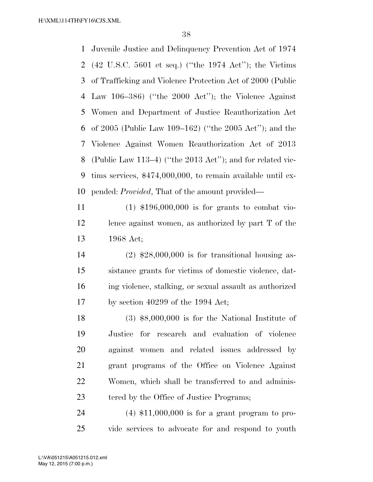Juvenile Justice and Delinquency Prevention Act of 1974 (42 U.S.C. 5601 et seq.) (''the 1974 Act''); the Victims of Trafficking and Violence Protection Act of 2000 (Public Law 106–386) (''the 2000 Act''); the Violence Against Women and Department of Justice Reauthorization Act of 2005 (Public Law 109–162) (''the 2005 Act''); and the Violence Against Women Reauthorization Act of 2013 (Public Law 113–4) (''the 2013 Act''); and for related vic- tims services, \$474,000,000, to remain available until ex-pended: *Provided*, That of the amount provided—

 (1) \$196,000,000 is for grants to combat vio- lence against women, as authorized by part T of the 1968 Act;

 (2) \$28,000,000 is for transitional housing as- sistance grants for victims of domestic violence, dat- ing violence, stalking, or sexual assault as authorized by section 40299 of the 1994 Act;

 (3) \$8,000,000 is for the National Institute of Justice for research and evaluation of violence against women and related issues addressed by grant programs of the Office on Violence Against Women, which shall be transferred to and adminis-23 tered by the Office of Justice Programs;

 (4) \$11,000,000 is for a grant program to pro-vide services to advocate for and respond to youth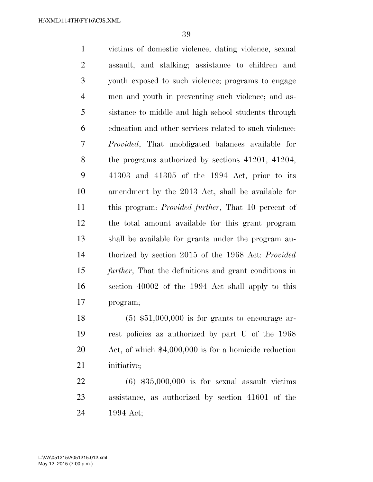victims of domestic violence, dating violence, sexual assault, and stalking; assistance to children and youth exposed to such violence; programs to engage men and youth in preventing such violence; and as- sistance to middle and high school students through education and other services related to such violence: *Provided*, That unobligated balances available for the programs authorized by sections 41201, 41204, 41303 and 41305 of the 1994 Act, prior to its amendment by the 2013 Act, shall be available for this program: *Provided further*, That 10 percent of the total amount available for this grant program shall be available for grants under the program au- thorized by section 2015 of the 1968 Act: *Provided further*, That the definitions and grant conditions in section 40002 of the 1994 Act shall apply to this program;

 $(5)$  \$51,000,000 is for grants to encourage ar- rest policies as authorized by part U of the 1968 Act, of which \$4,000,000 is for a homicide reduction initiative;

 (6) \$35,000,000 is for sexual assault victims assistance, as authorized by section 41601 of the 1994 Act;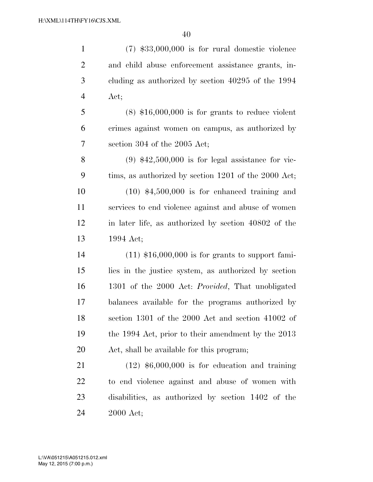(7) \$33,000,000 is for rural domestic violence and child abuse enforcement assistance grants, in- cluding as authorized by section 40295 of the 1994 Act; (8) \$16,000,000 is for grants to reduce violent crimes against women on campus, as authorized by section 304 of the 2005 Act; 8 (9)  $$42,500,000$  is for legal assistance for vic- tims, as authorized by section 1201 of the 2000 Act; (10) \$4,500,000 is for enhanced training and services to end violence against and abuse of women in later life, as authorized by section 40802 of the 1994 Act; (11) \$16,000,000 is for grants to support fami- lies in the justice system, as authorized by section 1301 of the 2000 Act: *Provided*, That unobligated balances available for the programs authorized by section 1301 of the 2000 Act and section 41002 of the 1994 Act, prior to their amendment by the 2013 Act, shall be available for this program; (12) \$6,000,000 is for education and training to end violence against and abuse of women with disabilities, as authorized by section 1402 of the 2000 Act;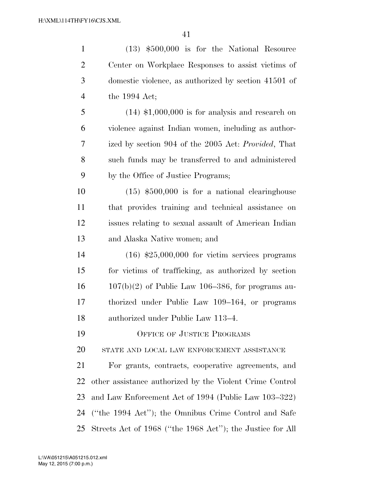| $\mathbf{1}$   | $(13)$ \$500,000 is for the National Resource               |
|----------------|-------------------------------------------------------------|
| $\overline{2}$ | Center on Workplace Responses to assist victims of          |
| 3              | domestic violence, as authorized by section 41501 of        |
| $\overline{4}$ | the $1994$ Act;                                             |
| 5              | $(14)$ \$1,000,000 is for analysis and research on          |
| 6              | violence against Indian women, including as author-         |
| 7              | ized by section 904 of the 2005 Act: <i>Provided</i> , That |
| 8              | such funds may be transferred to and administered           |
| 9              | by the Office of Justice Programs;                          |
| 10             | $(15)$ \$500,000 is for a national clearinghouse            |
| 11             | that provides training and technical assistance on          |
| 12             | issues relating to sexual assault of American Indian        |
| 13             | and Alaska Native women; and                                |
| 14             | $(16)$ \$25,000,000 for victim services programs            |
| 15             | for victims of trafficking, as authorized by section        |
| 16             | $107(b)(2)$ of Public Law 106–386, for programs au-         |
| 17             | thorized under Public Law 109–164, or programs              |
| 18             | authorized under Public Law 113-4.                          |
| 19             | OFFICE OF JUSTICE PROGRAMS                                  |
| 20             | STATE AND LOCAL LAW ENFORCEMENT ASSISTANCE                  |
| 21             | For grants, contracts, cooperative agreements, and          |
| 22             | other assistance authorized by the Violent Crime Control    |
| 23             | and Law Enforcement Act of 1994 (Public Law 103–322)        |
| 24             | ("the 1994 Act"); the Omnibus Crime Control and Safe        |
| 25             | Streets Act of 1968 ("the 1968 Act"); the Justice for All   |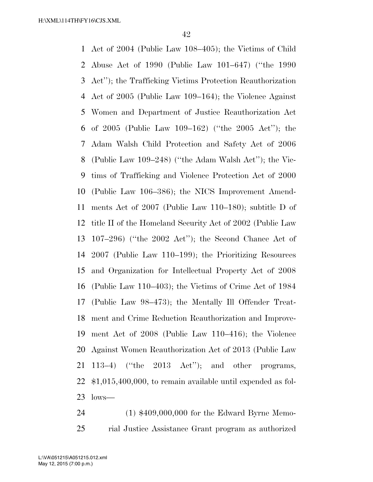H:\XML\114TH\FY16\CJS.XML

 Act of 2004 (Public Law 108–405); the Victims of Child Abuse Act of 1990 (Public Law 101–647) (''the 1990 Act''); the Trafficking Victims Protection Reauthorization Act of 2005 (Public Law 109–164); the Violence Against Women and Department of Justice Reauthorization Act of 2005 (Public Law 109–162) (''the 2005 Act''); the Adam Walsh Child Protection and Safety Act of 2006 (Public Law 109–248) (''the Adam Walsh Act''); the Vic- tims of Trafficking and Violence Protection Act of 2000 (Public Law 106–386); the NICS Improvement Amend- ments Act of 2007 (Public Law 110–180); subtitle D of title II of the Homeland Security Act of 2002 (Public Law 107–296) (''the 2002 Act''); the Second Chance Act of 2007 (Public Law 110–199); the Prioritizing Resources and Organization for Intellectual Property Act of 2008 (Public Law 110–403); the Victims of Crime Act of 1984 (Public Law 98–473); the Mentally Ill Offender Treat- ment and Crime Reduction Reauthorization and Improve- ment Act of 2008 (Public Law 110–416); the Violence Against Women Reauthorization Act of 2013 (Public Law 113–4) (''the 2013 Act''); and other programs, \$1,015,400,000, to remain available until expended as fol-lows—

 (1) \$409,000,000 for the Edward Byrne Memo-rial Justice Assistance Grant program as authorized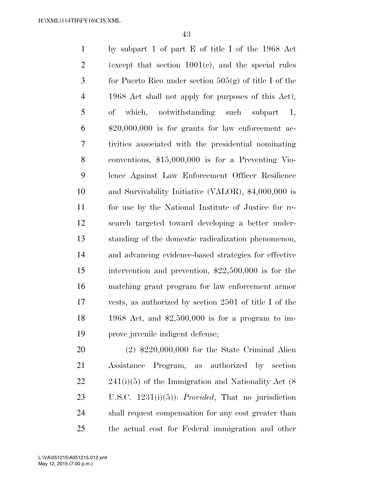by subpart 1 of part E of title I of the 1968 Act 2 (except that section  $1001(c)$ , and the special rules 3 for Puerto Rico under section  $505(g)$  of title I of the 1968 Act shall not apply for purposes of this Act), of which, notwithstanding such subpart 1, \$20,000,000 is for grants for law enforcement ac- tivities associated with the presidential nominating conventions, \$15,000,000 is for a Preventing Vio- lence Against Law Enforcement Officer Resilience and Survivability Initiative (VALOR), \$4,000,000 is for use by the National Institute of Justice for re- search targeted toward developing a better under- standing of the domestic radicalization phenomenon, and advancing evidence-based strategies for effective intervention and prevention, \$22,500,000 is for the matching grant program for law enforcement armor vests, as authorized by section 2501 of title I of the 1968 Act, and \$2,500,000 is for a program to im-prove juvenile indigent defense;

 (2) \$220,000,000 for the State Criminal Alien Assistance Program, as authorized by section 22 241(i)(5) of the Immigration and Nationality Act (8) U.S.C. 1231(i)(5)): *Provided*, That no jurisdiction shall request compensation for any cost greater than the actual cost for Federal immigration and other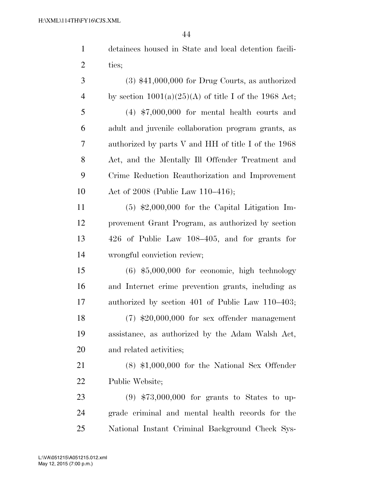| $\mathbf{1}$   | detainees housed in State and local detention facili-   |
|----------------|---------------------------------------------------------|
| $\overline{2}$ | ties;                                                   |
| 3              | $(3)$ \$41,000,000 for Drug Courts, as authorized       |
| $\overline{4}$ | by section $1001(a)(25)(A)$ of title I of the 1968 Act; |
| 5              | $(4)$ \$7,000,000 for mental health courts and          |
| 6              | adult and juvenile collaboration program grants, as     |
| 7              | authorized by parts $V$ and $HH$ of title I of the 1968 |
| 8              | Act, and the Mentally Ill Offender Treatment and        |
| 9              | Crime Reduction Reauthorization and Improvement         |
| 10             | Act of 2008 (Public Law 110–416);                       |
| 11             | $(5)$ \$2,000,000 for the Capital Litigation Im-        |
| 12             | provement Grant Program, as authorized by section       |
| 13             | 426 of Public Law 108–405, and for grants for           |
| 14             | wrongful conviction review;                             |
| 15             | $(6)$ \$5,000,000 for economic, high technology         |
| 16             | and Internet crime prevention grants, including as      |
| 17             | authorized by section 401 of Public Law 110–403;        |
| 18             | $(7)$ \$20,000,000 for sex offender management          |
| 19             | assistance, as authorized by the Adam Walsh Act,        |
| 20             | and related activities;                                 |
| 21             | $(8)$ \$1,000,000 for the National Sex Offender         |
| 22             | Public Website;                                         |
|                |                                                         |

 (9) \$73,000,000 for grants to States to up- grade criminal and mental health records for the National Instant Criminal Background Check Sys-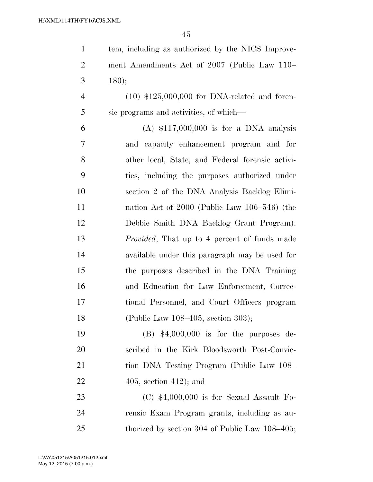| $\mathbf{1}$   | tem, including as authorized by the NICS Improve- |
|----------------|---------------------------------------------------|
| $\overline{2}$ | ment Amendments Act of 2007 (Public Law 110–      |
| 3              | 180);                                             |
| $\overline{4}$ | $(10)$ \$125,000,000 for DNA-related and foren-   |
| 5              | sic programs and activities, of which—            |
| 6              | (A) $$117,000,000$ is for a DNA analysis          |
| $\overline{7}$ | and capacity enhancement program and for          |
| 8              | other local, State, and Federal forensic activi-  |
| 9              | ties, including the purposes authorized under     |
| 10             | section 2 of the DNA Analysis Backlog Elimi-      |
| 11             | nation Act of 2000 (Public Law 106–546) (the      |
| 12             | Debbie Smith DNA Backlog Grant Program):          |
| 13             | Provided, That up to 4 percent of funds made      |
| 14             | available under this paragraph may be used for    |
| 15             | the purposes described in the DNA Training        |
| 16             | and Education for Law Enforcement, Correc-        |
| 17             | tional Personnel, and Court Officers program      |
| 18             | (Public Law 108-405, section 303);                |
| 19             | $(B)$ \$4,000,000 is for the purposes de-         |
| 20             | scribed in the Kirk Bloodsworth Post-Convic-      |
| 21             | tion DNA Testing Program (Public Law 108–         |
| 22             | $405$ , section $412$ ); and                      |
| 23             | $(C)$ \$4,000,000 is for Sexual Assault Fo-       |
| 24             | rensic Exam Program grants, including as au-      |
| 25             | thorized by section 304 of Public Law $108-405$ ; |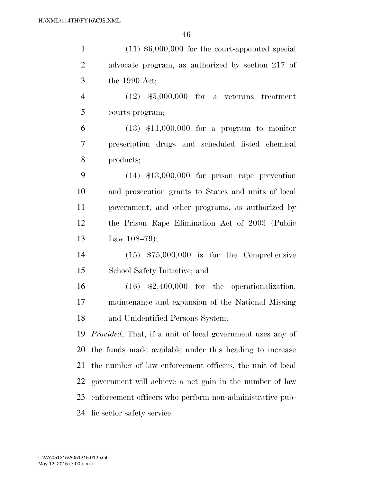| $\mathbf{1}$   | $(11)$ \$6,000,000 for the court-appointed special                |
|----------------|-------------------------------------------------------------------|
| $\overline{2}$ | advocate program, as authorized by section 217 of                 |
| 3              | the $1990$ Act;                                                   |
| $\overline{4}$ | $(12)$ \$5,000,000 for a veterans treatment                       |
| 5              | courts program;                                                   |
| 6              | $(13)$ \$11,000,000 for a program to monitor                      |
| 7              | prescription drugs and scheduled listed chemical                  |
| 8              | products;                                                         |
| 9              | $(14)$ \$13,000,000 for prison rape prevention                    |
| 10             | and prosecution grants to States and units of local               |
| 11             | government, and other programs, as authorized by                  |
| 12             | the Prison Rape Elimination Act of 2003 (Public                   |
| 13             | Law $108-79$ ;                                                    |
| 14             | $(15)$ \$75,000,000 is for the Comprehensive                      |
| 15             | School Safety Initiative; and                                     |
| 16             | $(16)$ \$2,400,000 for the operationalization,                    |
| 17             | maintenance and expansion of the National Missing                 |
| 18             | and Unidentified Persons System:                                  |
| 19             | <i>Provided</i> , That, if a unit of local government uses any of |
| 20             | the funds made available under this heading to increase           |
| 21             | the number of law enforcement officers, the unit of local         |
| 22             | government will achieve a net gain in the number of law           |
| 23             | enforcement officers who perform non-administrative pub-          |
| 24             | lic sector safety service.                                        |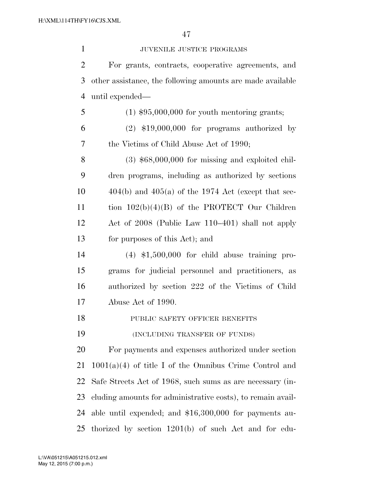| $\mathbf{1}$ | JUVENILE JUSTICE PROGRAMS                                   |
|--------------|-------------------------------------------------------------|
| 2            | For grants, contracts, cooperative agreements, and          |
| 3            | other assistance, the following amounts are made available  |
| 4            | until expended—                                             |
| 5            | $(1)$ \$95,000,000 for youth mentoring grants;              |
| 6            | $(2)$ \$19,000,000 for programs authorized by               |
| 7            | the Victims of Child Abuse Act of 1990;                     |
| 8            | $(3)$ \$68,000,000 for missing and exploited chil-          |
| 9            | dren programs, including as authorized by sections          |
| 10           | $404(b)$ and $405(a)$ of the 1974 Act (except that sec-     |
| 11           | tion $102(b)(4)(B)$ of the PROTECT Our Children             |
| 12           | Act of 2008 (Public Law 110–401) shall not apply            |
| 13           | for purposes of this Act); and                              |
| 14           | $(4)$ \$1,500,000 for child abuse training pro-             |
| 15           | grams for judicial personnel and practitioners, as          |
| 16           | authorized by section 222 of the Victims of Child           |
| 17           | Abuse Act of 1990.                                          |
| 18           | PUBLIC SAFETY OFFICER BENEFITS                              |
| 19           | (INCLUDING TRANSFER OF FUNDS)                               |
| 20           | For payments and expenses authorized under section          |
| 21           | $1001(a)(4)$ of title I of the Omnibus Crime Control and    |
| 22           | Safe Streets Act of 1968, such sums as are necessary (in-   |
| 23           | cluding amounts for administrative costs), to remain avail- |
| 24           | able until expended; and $$16,300,000$ for payments au-     |
| 25           | thorized by section $1201(b)$ of such Act and for edu-      |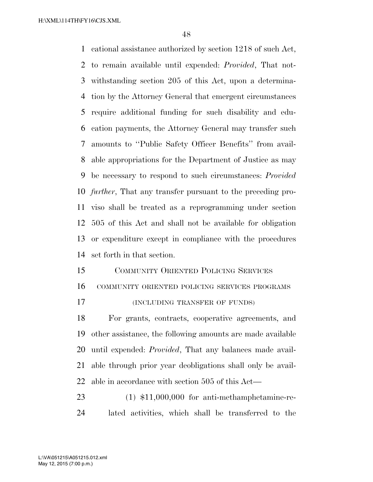H:\XML\114TH\FY16\CJS.XML

 cational assistance authorized by section 1218 of such Act, to remain available until expended: *Provided*, That not- withstanding section 205 of this Act, upon a determina- tion by the Attorney General that emergent circumstances require additional funding for such disability and edu- cation payments, the Attorney General may transfer such amounts to ''Public Safety Officer Benefits'' from avail- able appropriations for the Department of Justice as may be necessary to respond to such circumstances: *Provided further*, That any transfer pursuant to the preceding pro- viso shall be treated as a reprogramming under section 505 of this Act and shall not be available for obligation or expenditure except in compliance with the procedures set forth in that section.

 COMMUNITY ORIENTED POLICING SERVICES COMMUNITY ORIENTED POLICING SERVICES PROGRAMS

**(INCLUDING TRANSFER OF FUNDS)** 

 For grants, contracts, cooperative agreements, and other assistance, the following amounts are made available until expended: *Provided*, That any balances made avail- able through prior year deobligations shall only be avail-able in accordance with section 505 of this Act—

 (1) \$11,000,000 for anti-methamphetamine-re-lated activities, which shall be transferred to the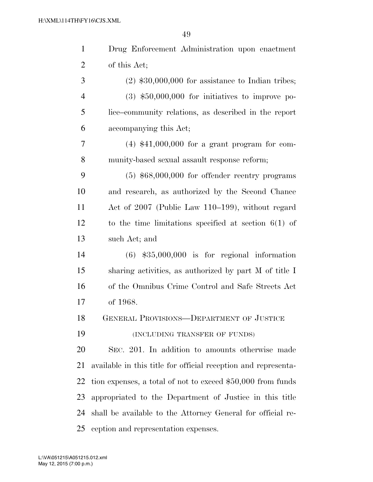| $\mathbf{1}$   | Drug Enforcement Administration upon enactment                 |
|----------------|----------------------------------------------------------------|
| $\overline{2}$ | of this Act;                                                   |
| 3              | $(2)$ \$30,000,000 for assistance to Indian tribes;            |
| $\overline{4}$ | $(3)$ \$50,000,000 for initiatives to improve po-              |
| 5              | lice-community relations, as described in the report           |
| 6              | accompanying this Act;                                         |
| 7              | $(4)$ \$41,000,000 for a grant program for com-                |
| 8              | munity-based sexual assault response reform;                   |
| 9              | $(5)$ \$68,000,000 for offender reentry programs               |
| 10             | and research, as authorized by the Second Chance               |
| 11             | Act of 2007 (Public Law 110–199), without regard               |
| 12             | to the time limitations specified at section $6(1)$ of         |
| 13             | such Act; and                                                  |
| 14             | $(6)$ \$35,000,000 is for regional information                 |
| 15             | sharing activities, as authorized by part M of title I         |
| 16             | of the Omnibus Crime Control and Safe Streets Act              |
| 17             | of 1968.                                                       |
| 18             | <b>GENERAL PROVISIONS-DEPARTMENT OF JUSTICE</b>                |
| 19             | (INCLUDING TRANSFER OF FUNDS)                                  |
| 20             | SEC. 201. In addition to amounts otherwise made                |
| 21             | available in this title for official reception and representa- |
| 22             | tion expenses, a total of not to exceed \$50,000 from funds    |
| 23             | appropriated to the Department of Justice in this title        |
| 24             | shall be available to the Attorney General for official re-    |
| 25             | ception and representation expenses.                           |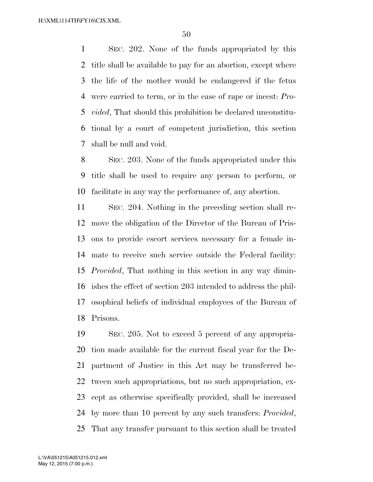SEC. 202. None of the funds appropriated by this title shall be available to pay for an abortion, except where the life of the mother would be endangered if the fetus were carried to term, or in the case of rape or incest: *Pro- vided*, That should this prohibition be declared unconstitu- tional by a court of competent jurisdiction, this section shall be null and void.

 SEC. 203. None of the funds appropriated under this title shall be used to require any person to perform, or facilitate in any way the performance of, any abortion.

 SEC. 204. Nothing in the preceding section shall re- move the obligation of the Director of the Bureau of Pris- ons to provide escort services necessary for a female in- mate to receive such service outside the Federal facility: *Provided*, That nothing in this section in any way dimin- ishes the effect of section 203 intended to address the phil- osophical beliefs of individual employees of the Bureau of Prisons.

 SEC. 205. Not to exceed 5 percent of any appropria- tion made available for the current fiscal year for the De- partment of Justice in this Act may be transferred be- tween such appropriations, but no such appropriation, ex- cept as otherwise specifically provided, shall be increased by more than 10 percent by any such transfers: *Provided*, That any transfer pursuant to this section shall be treated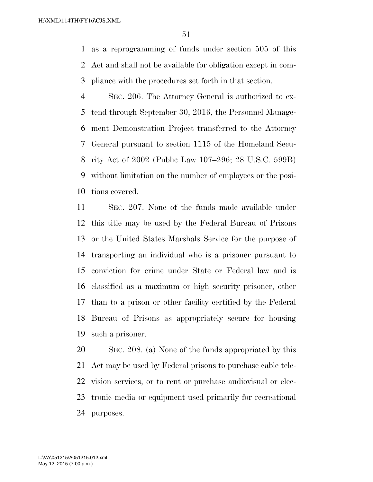as a reprogramming of funds under section 505 of this Act and shall not be available for obligation except in com-pliance with the procedures set forth in that section.

 SEC. 206. The Attorney General is authorized to ex- tend through September 30, 2016, the Personnel Manage- ment Demonstration Project transferred to the Attorney General pursuant to section 1115 of the Homeland Secu- rity Act of 2002 (Public Law 107–296; 28 U.S.C. 599B) without limitation on the number of employees or the posi-tions covered.

 SEC. 207. None of the funds made available under this title may be used by the Federal Bureau of Prisons or the United States Marshals Service for the purpose of transporting an individual who is a prisoner pursuant to conviction for crime under State or Federal law and is classified as a maximum or high security prisoner, other than to a prison or other facility certified by the Federal Bureau of Prisons as appropriately secure for housing such a prisoner.

 SEC. 208. (a) None of the funds appropriated by this Act may be used by Federal prisons to purchase cable tele- vision services, or to rent or purchase audiovisual or elec- tronic media or equipment used primarily for recreational purposes.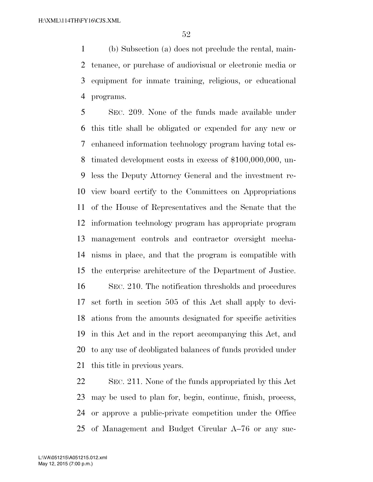(b) Subsection (a) does not preclude the rental, main- tenance, or purchase of audiovisual or electronic media or equipment for inmate training, religious, or educational programs.

 SEC. 209. None of the funds made available under this title shall be obligated or expended for any new or enhanced information technology program having total es- timated development costs in excess of \$100,000,000, un- less the Deputy Attorney General and the investment re- view board certify to the Committees on Appropriations of the House of Representatives and the Senate that the information technology program has appropriate program management controls and contractor oversight mecha- nisms in place, and that the program is compatible with the enterprise architecture of the Department of Justice. SEC. 210. The notification thresholds and procedures

 set forth in section 505 of this Act shall apply to devi- ations from the amounts designated for specific activities in this Act and in the report accompanying this Act, and to any use of deobligated balances of funds provided under this title in previous years.

 SEC. 211. None of the funds appropriated by this Act may be used to plan for, begin, continue, finish, process, or approve a public-private competition under the Office of Management and Budget Circular A–76 or any suc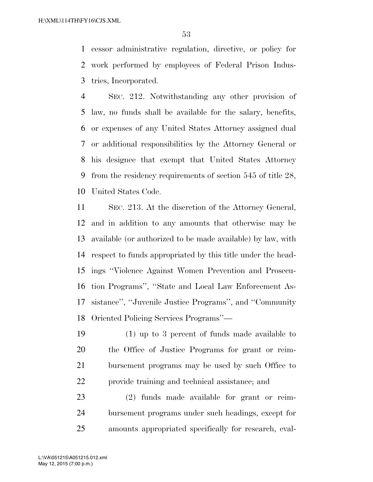cessor administrative regulation, directive, or policy for work performed by employees of Federal Prison Indus-tries, Incorporated.

 SEC. 212. Notwithstanding any other provision of law, no funds shall be available for the salary, benefits, or expenses of any United States Attorney assigned dual or additional responsibilities by the Attorney General or his designee that exempt that United States Attorney from the residency requirements of section 545 of title 28, United States Code.

 SEC. 213. At the discretion of the Attorney General, and in addition to any amounts that otherwise may be available (or authorized to be made available) by law, with respect to funds appropriated by this title under the head- ings ''Violence Against Women Prevention and Prosecu- tion Programs'', ''State and Local Law Enforcement As- sistance'', ''Juvenile Justice Programs'', and ''Community Oriented Policing Services Programs''—

 (1) up to 3 percent of funds made available to the Office of Justice Programs for grant or reim- bursement programs may be used by such Office to provide training and technical assistance; and

 (2) funds made available for grant or reim- bursement programs under such headings, except for amounts appropriated specifically for research, eval-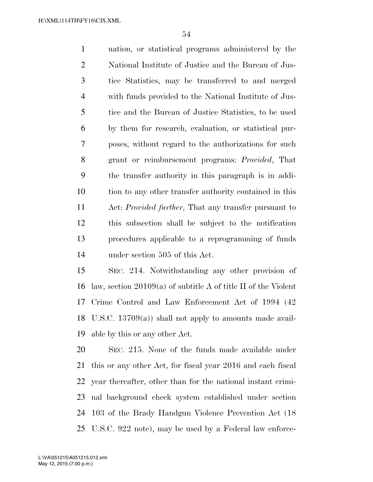uation, or statistical programs administered by the National Institute of Justice and the Bureau of Jus- tice Statistics, may be transferred to and merged with funds provided to the National Institute of Jus- tice and the Bureau of Justice Statistics, to be used by them for research, evaluation, or statistical pur- poses, without regard to the authorizations for such grant or reimbursement programs: *Provided*, That the transfer authority in this paragraph is in addi- tion to any other transfer authority contained in this Act: *Provided further*, That any transfer pursuant to this subsection shall be subject to the notification procedures applicable to a reprogramming of funds under section 505 of this Act.

 SEC. 214. Notwithstanding any other provision of law, section 20109(a) of subtitle A of title II of the Violent Crime Control and Law Enforcement Act of 1994 (42 U.S.C. 13709(a)) shall not apply to amounts made avail-able by this or any other Act.

 SEC. 215. None of the funds made available under this or any other Act, for fiscal year 2016 and each fiscal year thereafter, other than for the national instant crimi- nal background check system established under section 103 of the Brady Handgun Violence Prevention Act (18 U.S.C. 922 note), may be used by a Federal law enforce-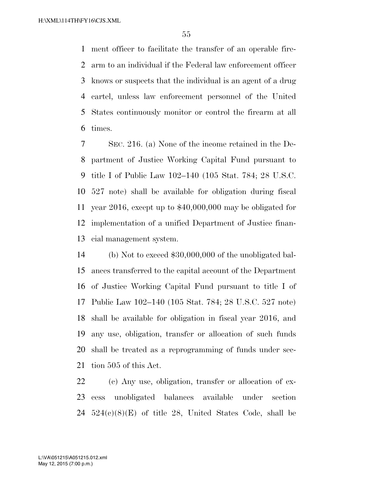ment officer to facilitate the transfer of an operable fire- arm to an individual if the Federal law enforcement officer knows or suspects that the individual is an agent of a drug cartel, unless law enforcement personnel of the United States continuously monitor or control the firearm at all times.

 SEC. 216. (a) None of the income retained in the De- partment of Justice Working Capital Fund pursuant to title I of Public Law 102–140 (105 Stat. 784; 28 U.S.C. 527 note) shall be available for obligation during fiscal year 2016, except up to \$40,000,000 may be obligated for implementation of a unified Department of Justice finan-cial management system.

 (b) Not to exceed \$30,000,000 of the unobligated bal- ances transferred to the capital account of the Department of Justice Working Capital Fund pursuant to title I of Public Law 102–140 (105 Stat. 784; 28 U.S.C. 527 note) shall be available for obligation in fiscal year 2016, and any use, obligation, transfer or allocation of such funds shall be treated as a reprogramming of funds under sec-tion 505 of this Act.

 (c) Any use, obligation, transfer or allocation of ex- cess unobligated balances available under section 24  $524(c)(8)(E)$  of title 28, United States Code, shall be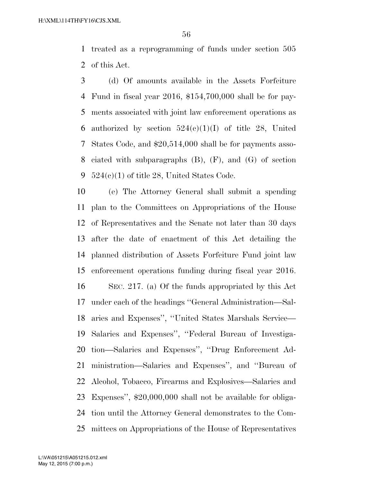treated as a reprogramming of funds under section 505 of this Act.

 (d) Of amounts available in the Assets Forfeiture Fund in fiscal year 2016, \$154,700,000 shall be for pay- ments associated with joint law enforcement operations as 6 authorized by section  $524(e)(1)(1)$  of title 28, United States Code, and \$20,514,000 shall be for payments asso- ciated with subparagraphs (B), (F), and (G) of section  $524(c)(1)$  of title 28, United States Code.

 (e) The Attorney General shall submit a spending plan to the Committees on Appropriations of the House of Representatives and the Senate not later than 30 days after the date of enactment of this Act detailing the planned distribution of Assets Forfeiture Fund joint law enforcement operations funding during fiscal year 2016. SEC. 217. (a) Of the funds appropriated by this Act under each of the headings ''General Administration—Sal- aries and Expenses'', ''United States Marshals Service— Salaries and Expenses'', ''Federal Bureau of Investiga- tion—Salaries and Expenses'', ''Drug Enforcement Ad- ministration—Salaries and Expenses'', and ''Bureau of Alcohol, Tobacco, Firearms and Explosives—Salaries and Expenses'', \$20,000,000 shall not be available for obliga- tion until the Attorney General demonstrates to the Com-mittees on Appropriations of the House of Representatives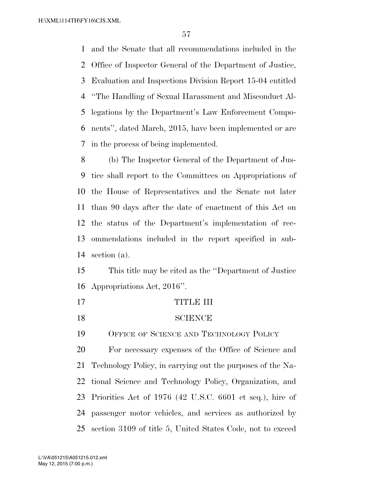and the Senate that all recommendations included in the Office of Inspector General of the Department of Justice, Evaluation and Inspections Division Report 15-04 entitled ''The Handling of Sexual Harassment and Misconduct Al- legations by the Department's Law Enforcement Compo- nents'', dated March, 2015, have been implemented or are in the process of being implemented.

 (b) The Inspector General of the Department of Jus- tice shall report to the Committees on Appropriations of the House of Representatives and the Senate not later than 90 days after the date of enactment of this Act on the status of the Department's implementation of rec- ommendations included in the report specified in sub-section (a).

 This title may be cited as the ''Department of Justice Appropriations Act, 2016''.

- TITLE III
- 18 SCIENCE

OFFICE OF SCIENCE AND TECHNOLOGY POLICY

 For necessary expenses of the Office of Science and Technology Policy, in carrying out the purposes of the Na- tional Science and Technology Policy, Organization, and Priorities Act of 1976 (42 U.S.C. 6601 et seq.), hire of passenger motor vehicles, and services as authorized by section 3109 of title 5, United States Code, not to exceed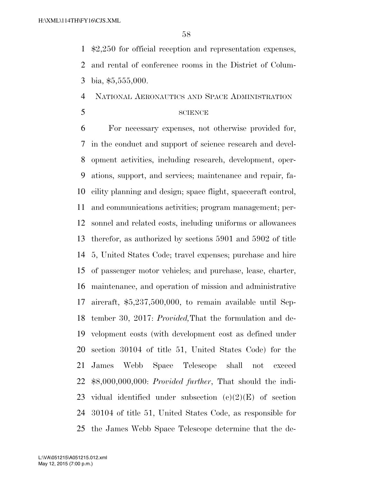\$2,250 for official reception and representation expenses, and rental of conference rooms in the District of Colum-bia, \$5,555,000.

#### NATIONAL AERONAUTICS AND SPACE ADMINISTRATION

# 5 SCIENCE

 For necessary expenses, not otherwise provided for, in the conduct and support of science research and devel- opment activities, including research, development, oper- ations, support, and services; maintenance and repair, fa- cility planning and design; space flight, spacecraft control, and communications activities; program management; per- sonnel and related costs, including uniforms or allowances therefor, as authorized by sections 5901 and 5902 of title 5, United States Code; travel expenses; purchase and hire of passenger motor vehicles; and purchase, lease, charter, maintenance, and operation of mission and administrative aircraft, \$5,237,500,000, to remain available until Sep- tember 30, 2017: *Provided,*That the formulation and de- velopment costs (with development cost as defined under section 30104 of title 51, United States Code) for the James Webb Space Telescope shall not exceed \$8,000,000,000: *Provided further*, That should the indi-23 vidual identified under subsection  $(e)(2)(E)$  of section 30104 of title 51, United States Code, as responsible for the James Webb Space Telescope determine that the de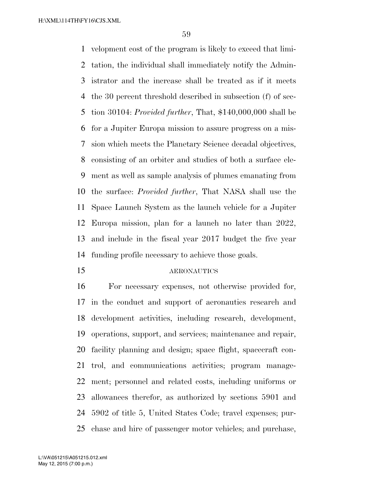H:\XML\114TH\FY16\CJS.XML

 velopment cost of the program is likely to exceed that limi- tation, the individual shall immediately notify the Admin- istrator and the increase shall be treated as if it meets the 30 percent threshold described in subsection (f) of sec- tion 30104: *Provided further*, That, \$140,000,000 shall be for a Jupiter Europa mission to assure progress on a mis- sion which meets the Planetary Science decadal objectives, consisting of an orbiter and studies of both a surface ele- ment as well as sample analysis of plumes emanating from the surface: *Provided further*, That NASA shall use the Space Launch System as the launch vehicle for a Jupiter Europa mission, plan for a launch no later than 2022, and include in the fiscal year 2017 budget the five year funding profile necessary to achieve those goals.

#### AERONAUTICS

 For necessary expenses, not otherwise provided for, in the conduct and support of aeronautics research and development activities, including research, development, operations, support, and services; maintenance and repair, facility planning and design; space flight, spacecraft con- trol, and communications activities; program manage- ment; personnel and related costs, including uniforms or allowances therefor, as authorized by sections 5901 and 5902 of title 5, United States Code; travel expenses; pur-chase and hire of passenger motor vehicles; and purchase,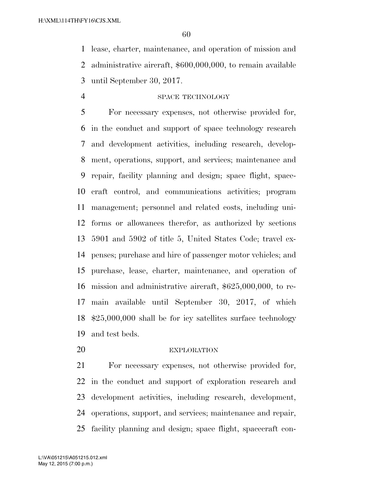lease, charter, maintenance, and operation of mission and administrative aircraft, \$600,000,000, to remain available until September 30, 2017.

#### SPACE TECHNOLOGY

 For necessary expenses, not otherwise provided for, in the conduct and support of space technology research and development activities, including research, develop- ment, operations, support, and services; maintenance and repair, facility planning and design; space flight, space- craft control, and communications activities; program management; personnel and related costs, including uni- forms or allowances therefor, as authorized by sections 5901 and 5902 of title 5, United States Code; travel ex- penses; purchase and hire of passenger motor vehicles; and purchase, lease, charter, maintenance, and operation of mission and administrative aircraft, \$625,000,000, to re- main available until September 30, 2017, of which \$25,000,000 shall be for icy satellites surface technology and test beds.

#### EXPLORATION

 For necessary expenses, not otherwise provided for, in the conduct and support of exploration research and development activities, including research, development, operations, support, and services; maintenance and repair, facility planning and design; space flight, spacecraft con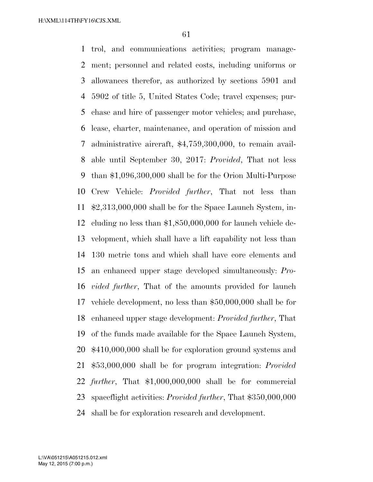H:\XML\114TH\FY16\CJS.XML

 trol, and communications activities; program manage- ment; personnel and related costs, including uniforms or allowances therefor, as authorized by sections 5901 and 5902 of title 5, United States Code; travel expenses; pur- chase and hire of passenger motor vehicles; and purchase, lease, charter, maintenance, and operation of mission and administrative aircraft, \$4,759,300,000, to remain avail- able until September 30, 2017: *Provided*, That not less than \$1,096,300,000 shall be for the Orion Multi-Purpose Crew Vehicle: *Provided further*, That not less than \$2,313,000,000 shall be for the Space Launch System, in- cluding no less than \$1,850,000,000 for launch vehicle de- velopment, which shall have a lift capability not less than 130 metric tons and which shall have core elements and an enhanced upper stage developed simultaneously: *Pro- vided further*, That of the amounts provided for launch vehicle development, no less than \$50,000,000 shall be for enhanced upper stage development: *Provided further*, That of the funds made available for the Space Launch System, \$410,000,000 shall be for exploration ground systems and \$53,000,000 shall be for program integration: *Provided further*, That \$1,000,000,000 shall be for commercial spaceflight activities: *Provided further*, That \$350,000,000 shall be for exploration research and development.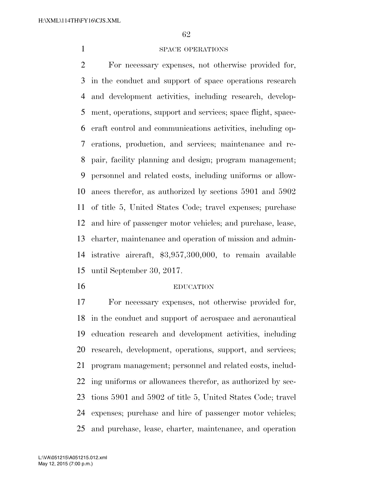#### 1 SPACE OPERATIONS

 For necessary expenses, not otherwise provided for, in the conduct and support of space operations research and development activities, including research, develop- ment, operations, support and services; space flight, space- craft control and communications activities, including op- erations, production, and services; maintenance and re- pair, facility planning and design; program management; personnel and related costs, including uniforms or allow- ances therefor, as authorized by sections 5901 and 5902 of title 5, United States Code; travel expenses; purchase and hire of passenger motor vehicles; and purchase, lease, charter, maintenance and operation of mission and admin- istrative aircraft, \$3,957,300,000, to remain available until September 30, 2017.

#### EDUCATION

 For necessary expenses, not otherwise provided for, in the conduct and support of aerospace and aeronautical education research and development activities, including research, development, operations, support, and services; program management; personnel and related costs, includ- ing uniforms or allowances therefor, as authorized by sec- tions 5901 and 5902 of title 5, United States Code; travel expenses; purchase and hire of passenger motor vehicles; and purchase, lease, charter, maintenance, and operation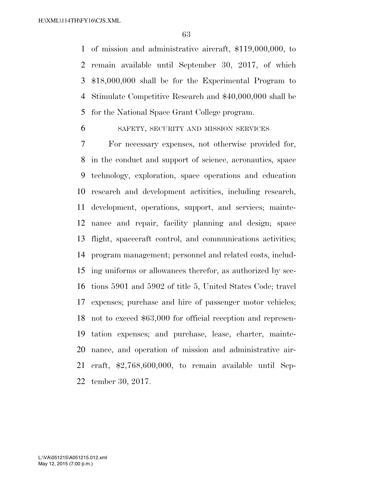of mission and administrative aircraft, \$119,000,000, to remain available until September 30, 2017, of which \$18,000,000 shall be for the Experimental Program to Stimulate Competitive Research and \$40,000,000 shall be for the National Space Grant College program.

SAFETY, SECURITY AND MISSION SERVICES

 For necessary expenses, not otherwise provided for, in the conduct and support of science, aeronautics, space technology, exploration, space operations and education research and development activities, including research, development, operations, support, and services; mainte- nance and repair, facility planning and design; space flight, spacecraft control, and communications activities; program management; personnel and related costs, includ- ing uniforms or allowances therefor, as authorized by sec- tions 5901 and 5902 of title 5, United States Code; travel expenses; purchase and hire of passenger motor vehicles; not to exceed \$63,000 for official reception and represen- tation expenses; and purchase, lease, charter, mainte- nance, and operation of mission and administrative air- craft, \$2,768,600,000, to remain available until Sep-tember 30, 2017.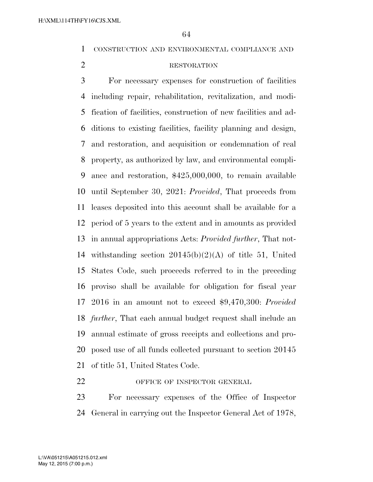CONSTRUCTION AND ENVIRONMENTAL COMPLIANCE AND

# RESTORATION

 For necessary expenses for construction of facilities including repair, rehabilitation, revitalization, and modi- fication of facilities, construction of new facilities and ad- ditions to existing facilities, facility planning and design, and restoration, and acquisition or condemnation of real property, as authorized by law, and environmental compli- ance and restoration, \$425,000,000, to remain available until September 30, 2021: *Provided*, That proceeds from leases deposited into this account shall be available for a period of 5 years to the extent and in amounts as provided in annual appropriations Acts: *Provided further*, That not- withstanding section 20145(b)(2)(A) of title 51, United States Code, such proceeds referred to in the preceding proviso shall be available for obligation for fiscal year 2016 in an amount not to exceed \$9,470,300: *Provided further*, That each annual budget request shall include an annual estimate of gross receipts and collections and pro- posed use of all funds collected pursuant to section 20145 of title 51, United States Code.

22 OFFICE OF INSPECTOR GENERAL

 For necessary expenses of the Office of Inspector General in carrying out the Inspector General Act of 1978,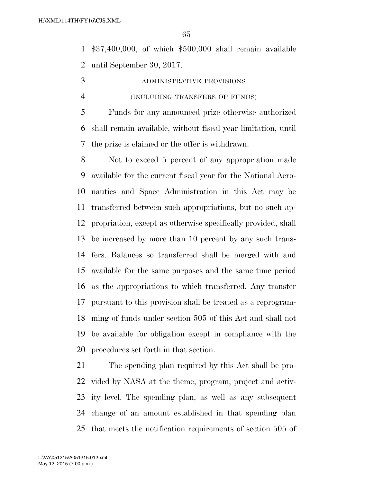\$37,400,000, of which \$500,000 shall remain available until September 30, 2017.

- ADMINISTRATIVE PROVISIONS
- (INCLUDING TRANSFERS OF FUNDS)

 Funds for any announced prize otherwise authorized shall remain available, without fiscal year limitation, until the prize is claimed or the offer is withdrawn.

 Not to exceed 5 percent of any appropriation made available for the current fiscal year for the National Aero- nautics and Space Administration in this Act may be transferred between such appropriations, but no such ap- propriation, except as otherwise specifically provided, shall be increased by more than 10 percent by any such trans- fers. Balances so transferred shall be merged with and available for the same purposes and the same time period as the appropriations to which transferred. Any transfer pursuant to this provision shall be treated as a reprogram- ming of funds under section 505 of this Act and shall not be available for obligation except in compliance with the procedures set forth in that section.

 The spending plan required by this Act shall be pro- vided by NASA at the theme, program, project and activ- ity level. The spending plan, as well as any subsequent change of an amount established in that spending plan that meets the notification requirements of section 505 of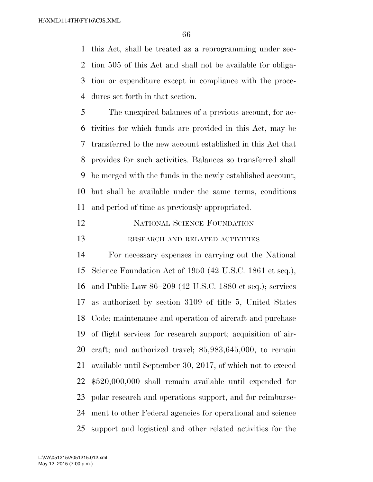this Act, shall be treated as a reprogramming under sec- tion 505 of this Act and shall not be available for obliga- tion or expenditure except in compliance with the proce-dures set forth in that section.

 The unexpired balances of a previous account, for ac- tivities for which funds are provided in this Act, may be transferred to the new account established in this Act that provides for such activities. Balances so transferred shall be merged with the funds in the newly established account, but shall be available under the same terms, conditions and period of time as previously appropriated.

NATIONAL SCIENCE FOUNDATION

# 13 RESEARCH AND RELATED ACTIVITIES

 For necessary expenses in carrying out the National Science Foundation Act of 1950 (42 U.S.C. 1861 et seq.), and Public Law 86–209 (42 U.S.C. 1880 et seq.); services as authorized by section 3109 of title 5, United States Code; maintenance and operation of aircraft and purchase of flight services for research support; acquisition of air- craft; and authorized travel; \$5,983,645,000, to remain available until September 30, 2017, of which not to exceed \$520,000,000 shall remain available until expended for polar research and operations support, and for reimburse- ment to other Federal agencies for operational and science support and logistical and other related activities for the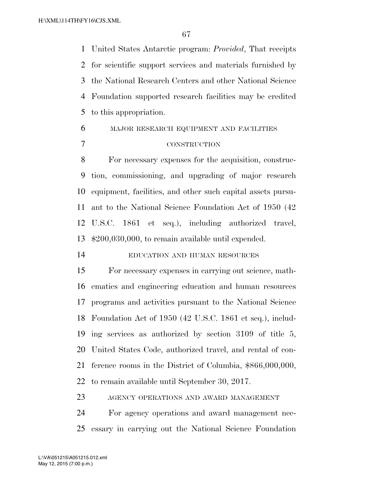United States Antarctic program: *Provided*, That receipts for scientific support services and materials furnished by the National Research Centers and other National Science Foundation supported research facilities may be credited to this appropriation.

# MAJOR RESEARCH EQUIPMENT AND FACILITIES CONSTRUCTION

 For necessary expenses for the acquisition, construc- tion, commissioning, and upgrading of major research equipment, facilities, and other such capital assets pursu- ant to the National Science Foundation Act of 1950 (42 U.S.C. 1861 et seq.), including authorized travel, \$200,030,000, to remain available until expended.

### EDUCATION AND HUMAN RESOURCES

 For necessary expenses in carrying out science, math- ematics and engineering education and human resources programs and activities pursuant to the National Science Foundation Act of 1950 (42 U.S.C. 1861 et seq.), includ- ing services as authorized by section 3109 of title 5, United States Code, authorized travel, and rental of con- ference rooms in the District of Columbia, \$866,000,000, to remain available until September 30, 2017.

AGENCY OPERATIONS AND AWARD MANAGEMENT

 For agency operations and award management nec-essary in carrying out the National Science Foundation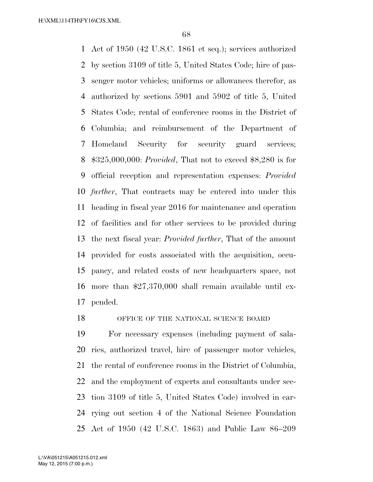H:\XML\114TH\FY16\CJS.XML

 Act of 1950 (42 U.S.C. 1861 et seq.); services authorized by section 3109 of title 5, United States Code; hire of pas- senger motor vehicles; uniforms or allowances therefor, as authorized by sections 5901 and 5902 of title 5, United States Code; rental of conference rooms in the District of Columbia; and reimbursement of the Department of Homeland Security for security guard services; \$325,000,000: *Provided*, That not to exceed \$8,280 is for official reception and representation expenses: *Provided further*, That contracts may be entered into under this heading in fiscal year 2016 for maintenance and operation of facilities and for other services to be provided during the next fiscal year: *Provided further*, That of the amount provided for costs associated with the acquisition, occu- pancy, and related costs of new headquarters space, not more than \$27,370,000 shall remain available until ex-pended.

18 OFFICE OF THE NATIONAL SCIENCE BOARD

 For necessary expenses (including payment of sala- ries, authorized travel, hire of passenger motor vehicles, the rental of conference rooms in the District of Columbia, and the employment of experts and consultants under sec- tion 3109 of title 5, United States Code) involved in car- rying out section 4 of the National Science Foundation Act of 1950 (42 U.S.C. 1863) and Public Law 86–209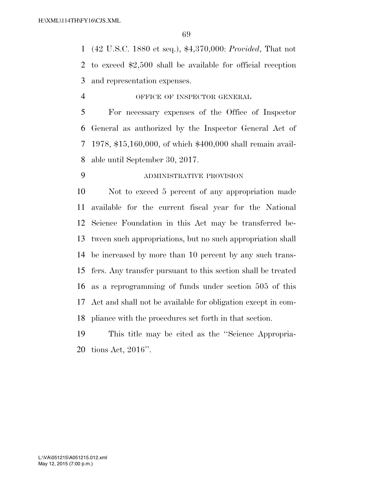(42 U.S.C. 1880 et seq.), \$4,370,000: *Provided*, That not to exceed \$2,500 shall be available for official reception and representation expenses.

#### OFFICE OF INSPECTOR GENERAL

 For necessary expenses of the Office of Inspector General as authorized by the Inspector General Act of 1978, \$15,160,000, of which \$400,000 shall remain avail-able until September 30, 2017.

#### ADMINISTRATIVE PROVISION

 Not to exceed 5 percent of any appropriation made available for the current fiscal year for the National Science Foundation in this Act may be transferred be- tween such appropriations, but no such appropriation shall be increased by more than 10 percent by any such trans- fers. Any transfer pursuant to this section shall be treated as a reprogramming of funds under section 505 of this Act and shall not be available for obligation except in com-pliance with the procedures set forth in that section.

 This title may be cited as the ''Science Appropria-tions Act, 2016''.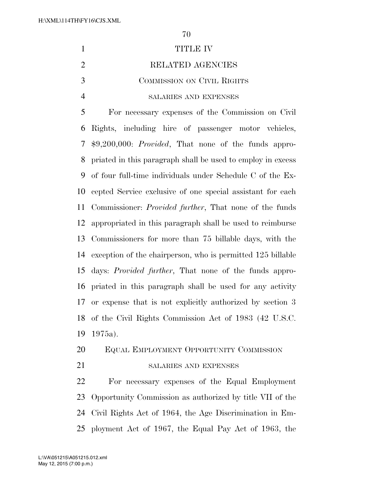### TITLE IV 2 RELATED AGENCIES COMMISSION ON CIVIL RIGHTS SALARIES AND EXPENSES For necessary expenses of the Commission on Civil Rights, including hire of passenger motor vehicles, \$9,200,000: *Provided*, That none of the funds appro- priated in this paragraph shall be used to employ in excess of four full-time individuals under Schedule C of the Ex- cepted Service exclusive of one special assistant for each Commissioner: *Provided further*, That none of the funds appropriated in this paragraph shall be used to reimburse Commissioners for more than 75 billable days, with the exception of the chairperson, who is permitted 125 billable days: *Provided further*, That none of the funds appro- priated in this paragraph shall be used for any activity or expense that is not explicitly authorized by section 3 of the Civil Rights Commission Act of 1983 (42 U.S.C. 1975a). EQUAL EMPLOYMENT OPPORTUNITY COMMISSION

21 SALARIES AND EXPENSES

 For necessary expenses of the Equal Employment Opportunity Commission as authorized by title VII of the Civil Rights Act of 1964, the Age Discrimination in Em-ployment Act of 1967, the Equal Pay Act of 1963, the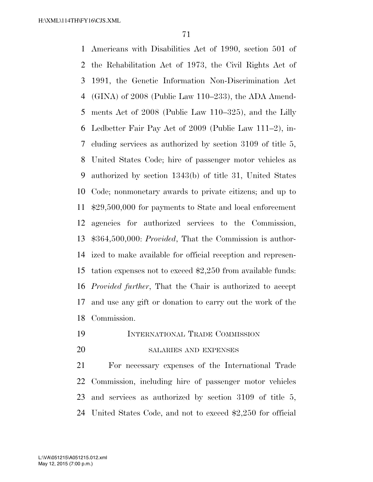H:\XML\114TH\FY16\CJS.XML

 Americans with Disabilities Act of 1990, section 501 of the Rehabilitation Act of 1973, the Civil Rights Act of 1991, the Genetic Information Non-Discrimination Act (GINA) of 2008 (Public Law 110–233), the ADA Amend- ments Act of 2008 (Public Law 110–325), and the Lilly Ledbetter Fair Pay Act of 2009 (Public Law 111–2), in- cluding services as authorized by section 3109 of title 5, United States Code; hire of passenger motor vehicles as authorized by section 1343(b) of title 31, United States Code; nonmonetary awards to private citizens; and up to \$29,500,000 for payments to State and local enforcement agencies for authorized services to the Commission, \$364,500,000: *Provided*, That the Commission is author- ized to make available for official reception and represen- tation expenses not to exceed \$2,250 from available funds: *Provided further*, That the Chair is authorized to accept and use any gift or donation to carry out the work of the Commission.

- INTERNATIONAL TRADE COMMISSION
- SALARIES AND EXPENSES

 For necessary expenses of the International Trade Commission, including hire of passenger motor vehicles and services as authorized by section 3109 of title 5, United States Code, and not to exceed \$2,250 for official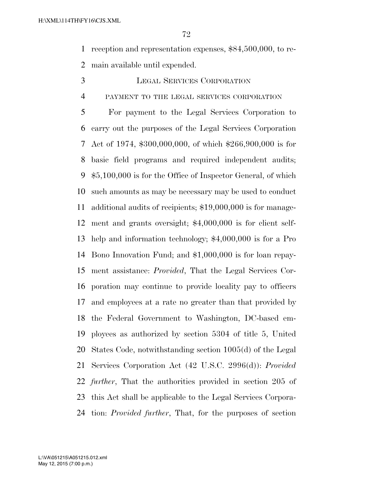reception and representation expenses, \$84,500,000, to re-main available until expended.

#### LEGAL SERVICES CORPORATION

PAYMENT TO THE LEGAL SERVICES CORPORATION

 For payment to the Legal Services Corporation to carry out the purposes of the Legal Services Corporation Act of 1974, \$300,000,000, of which \$266,900,000 is for basic field programs and required independent audits; \$5,100,000 is for the Office of Inspector General, of which such amounts as may be necessary may be used to conduct additional audits of recipients; \$19,000,000 is for manage- ment and grants oversight; \$4,000,000 is for client self- help and information technology; \$4,000,000 is for a Pro Bono Innovation Fund; and \$1,000,000 is for loan repay- ment assistance: *Provided*, That the Legal Services Cor- poration may continue to provide locality pay to officers and employees at a rate no greater than that provided by the Federal Government to Washington, DC-based em- ployees as authorized by section 5304 of title 5, United States Code, notwithstanding section 1005(d) of the Legal Services Corporation Act (42 U.S.C. 2996(d)): *Provided further*, That the authorities provided in section 205 of this Act shall be applicable to the Legal Services Corpora-tion: *Provided further*, That, for the purposes of section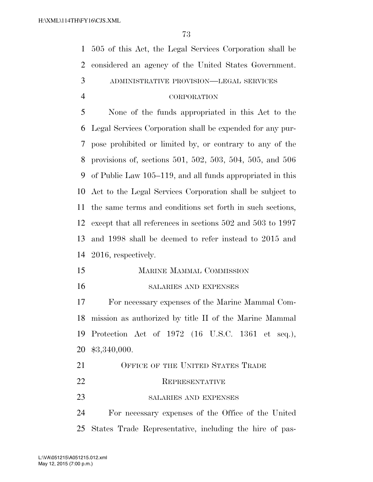505 of this Act, the Legal Services Corporation shall be considered an agency of the United States Government. ADMINISTRATIVE PROVISION—LEGAL SERVICES CORPORATION None of the funds appropriated in this Act to the Legal Services Corporation shall be expended for any pur- pose prohibited or limited by, or contrary to any of the provisions of, sections 501, 502, 503, 504, 505, and 506 of Public Law 105–119, and all funds appropriated in this Act to the Legal Services Corporation shall be subject to the same terms and conditions set forth in such sections, except that all references in sections 502 and 503 to 1997 and 1998 shall be deemed to refer instead to 2015 and 2016, respectively. MARINE MAMMAL COMMISSION SALARIES AND EXPENSES For necessary expenses of the Marine Mammal Com- mission as authorized by title II of the Marine Mammal Protection Act of 1972 (16 U.S.C. 1361 et seq.), \$3,340,000. 21 OFFICE OF THE UNITED STATES TRADE 22 REPRESENTATIVE 23 SALARIES AND EXPENSES For necessary expenses of the Office of the United

States Trade Representative, including the hire of pas-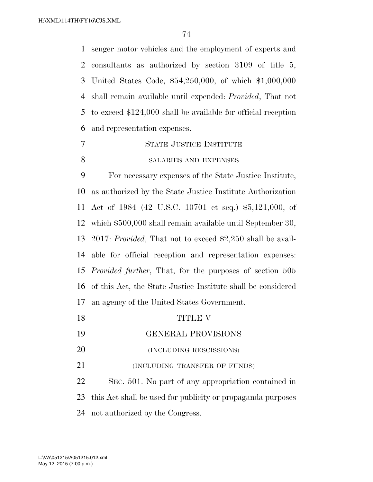senger motor vehicles and the employment of experts and consultants as authorized by section 3109 of title 5, United States Code, \$54,250,000, of which \$1,000,000 shall remain available until expended: *Provided*, That not to exceed \$124,000 shall be available for official reception and representation expenses.

 STATE JUSTICE INSTITUTE 8 SALARIES AND EXPENSES

 For necessary expenses of the State Justice Institute, as authorized by the State Justice Institute Authorization Act of 1984 (42 U.S.C. 10701 et seq.) \$5,121,000, of which \$500,000 shall remain available until September 30, 2017: *Provided*, That not to exceed \$2,250 shall be avail- able for official reception and representation expenses: *Provided further*, That, for the purposes of section 505 of this Act, the State Justice Institute shall be considered an agency of the United States Government.

18 TITLE V GENERAL PROVISIONS 20 (INCLUDING RESCISSIONS) **(INCLUDING TRANSFER OF FUNDS)**  SEC. 501. No part of any appropriation contained in this Act shall be used for publicity or propaganda purposes not authorized by the Congress.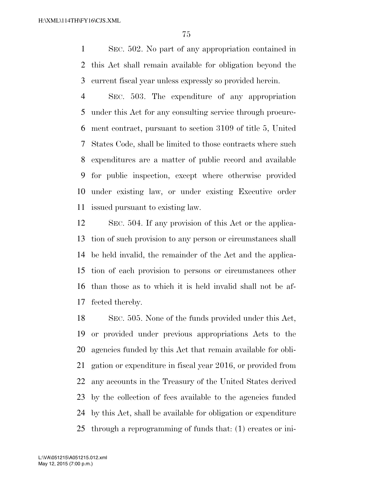SEC. 502. No part of any appropriation contained in this Act shall remain available for obligation beyond the current fiscal year unless expressly so provided herein.

 SEC. 503. The expenditure of any appropriation under this Act for any consulting service through procure- ment contract, pursuant to section 3109 of title 5, United States Code, shall be limited to those contracts where such expenditures are a matter of public record and available for public inspection, except where otherwise provided under existing law, or under existing Executive order issued pursuant to existing law.

 SEC. 504. If any provision of this Act or the applica- tion of such provision to any person or circumstances shall be held invalid, the remainder of the Act and the applica- tion of each provision to persons or circumstances other than those as to which it is held invalid shall not be af-fected thereby.

 SEC. 505. None of the funds provided under this Act, or provided under previous appropriations Acts to the agencies funded by this Act that remain available for obli- gation or expenditure in fiscal year 2016, or provided from any accounts in the Treasury of the United States derived by the collection of fees available to the agencies funded by this Act, shall be available for obligation or expenditure through a reprogramming of funds that: (1) creates or ini-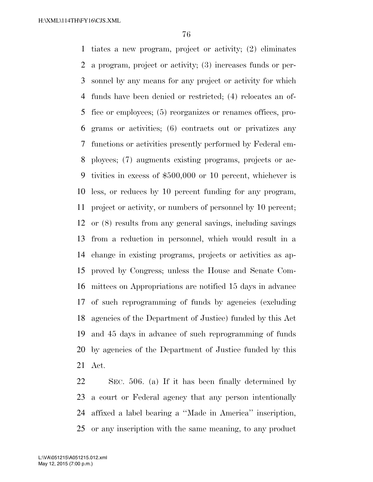tiates a new program, project or activity; (2) eliminates a program, project or activity; (3) increases funds or per- sonnel by any means for any project or activity for which funds have been denied or restricted; (4) relocates an of- fice or employees; (5) reorganizes or renames offices, pro- grams or activities; (6) contracts out or privatizes any functions or activities presently performed by Federal em- ployees; (7) augments existing programs, projects or ac- tivities in excess of \$500,000 or 10 percent, whichever is less, or reduces by 10 percent funding for any program, project or activity, or numbers of personnel by 10 percent; or (8) results from any general savings, including savings from a reduction in personnel, which would result in a change in existing programs, projects or activities as ap- proved by Congress; unless the House and Senate Com- mittees on Appropriations are notified 15 days in advance of such reprogramming of funds by agencies (excluding agencies of the Department of Justice) funded by this Act and 45 days in advance of such reprogramming of funds by agencies of the Department of Justice funded by this Act.

 SEC. 506. (a) If it has been finally determined by a court or Federal agency that any person intentionally affixed a label bearing a ''Made in America'' inscription, or any inscription with the same meaning, to any product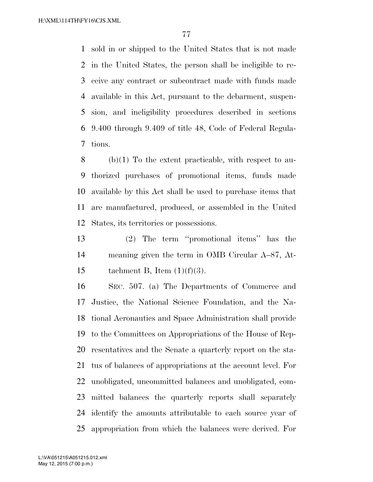sold in or shipped to the United States that is not made in the United States, the person shall be ineligible to re- ceive any contract or subcontract made with funds made available in this Act, pursuant to the debarment, suspen- sion, and ineligibility procedures described in sections 9.400 through 9.409 of title 48, Code of Federal Regula-tions.

 (b)(1) To the extent practicable, with respect to au- thorized purchases of promotional items, funds made available by this Act shall be used to purchase items that are manufactured, produced, or assembled in the United States, its territories or possessions.

 (2) The term ''promotional items'' has the meaning given the term in OMB Circular A–87, At-15 tachment B, Item  $(1)(f)(3)$ .

 SEC. 507. (a) The Departments of Commerce and Justice, the National Science Foundation, and the Na- tional Aeronautics and Space Administration shall provide to the Committees on Appropriations of the House of Rep- resentatives and the Senate a quarterly report on the sta- tus of balances of appropriations at the account level. For unobligated, uncommitted balances and unobligated, com- mitted balances the quarterly reports shall separately identify the amounts attributable to each source year of appropriation from which the balances were derived. For

May 12, 2015 (7:00 p.m.) L:\VA\051215\A051215.012.xml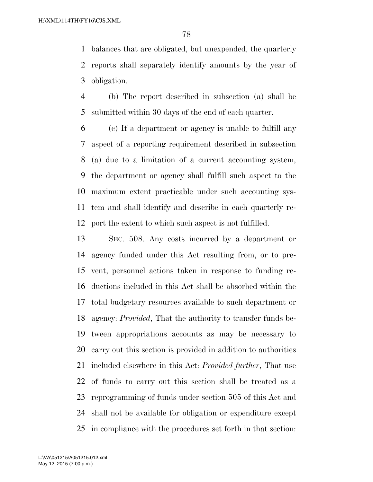balances that are obligated, but unexpended, the quarterly reports shall separately identify amounts by the year of obligation.

 (b) The report described in subsection (a) shall be submitted within 30 days of the end of each quarter.

 (c) If a department or agency is unable to fulfill any aspect of a reporting requirement described in subsection (a) due to a limitation of a current accounting system, the department or agency shall fulfill such aspect to the maximum extent practicable under such accounting sys- tem and shall identify and describe in each quarterly re-port the extent to which such aspect is not fulfilled.

 SEC. 508. Any costs incurred by a department or agency funded under this Act resulting from, or to pre- vent, personnel actions taken in response to funding re- ductions included in this Act shall be absorbed within the total budgetary resources available to such department or agency: *Provided*, That the authority to transfer funds be- tween appropriations accounts as may be necessary to carry out this section is provided in addition to authorities included elsewhere in this Act: *Provided further*, That use of funds to carry out this section shall be treated as a reprogramming of funds under section 505 of this Act and shall not be available for obligation or expenditure except in compliance with the procedures set forth in that section:

May 12, 2015 (7:00 p.m.) L:\VA\051215\A051215.012.xml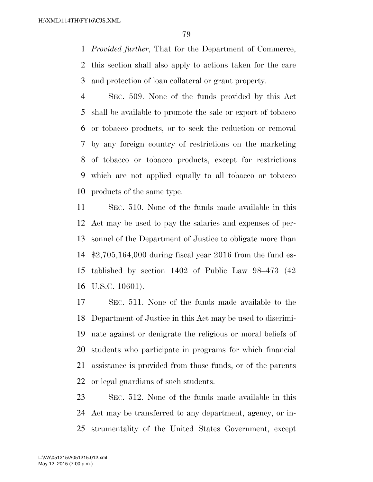*Provided further*, That for the Department of Commerce, this section shall also apply to actions taken for the care and protection of loan collateral or grant property.

 SEC. 509. None of the funds provided by this Act shall be available to promote the sale or export of tobacco or tobacco products, or to seek the reduction or removal by any foreign country of restrictions on the marketing of tobacco or tobacco products, except for restrictions which are not applied equally to all tobacco or tobacco products of the same type.

 SEC. 510. None of the funds made available in this Act may be used to pay the salaries and expenses of per- sonnel of the Department of Justice to obligate more than \$2,705,164,000 during fiscal year 2016 from the fund es- tablished by section 1402 of Public Law 98–473 (42 U.S.C. 10601).

 SEC. 511. None of the funds made available to the Department of Justice in this Act may be used to discrimi- nate against or denigrate the religious or moral beliefs of students who participate in programs for which financial assistance is provided from those funds, or of the parents or legal guardians of such students.

 SEC. 512. None of the funds made available in this Act may be transferred to any department, agency, or in-strumentality of the United States Government, except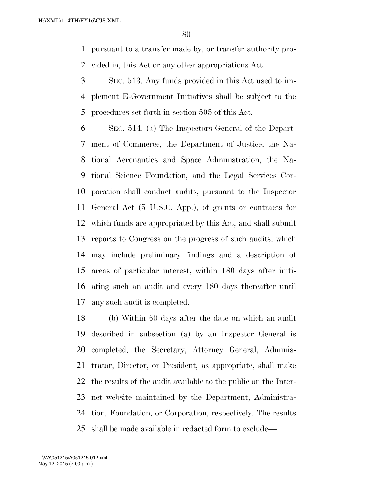pursuant to a transfer made by, or transfer authority pro-vided in, this Act or any other appropriations Act.

 SEC. 513. Any funds provided in this Act used to im- plement E-Government Initiatives shall be subject to the procedures set forth in section 505 of this Act.

 SEC. 514. (a) The Inspectors General of the Depart- ment of Commerce, the Department of Justice, the Na- tional Aeronautics and Space Administration, the Na- tional Science Foundation, and the Legal Services Cor- poration shall conduct audits, pursuant to the Inspector General Act (5 U.S.C. App.), of grants or contracts for which funds are appropriated by this Act, and shall submit reports to Congress on the progress of such audits, which may include preliminary findings and a description of areas of particular interest, within 180 days after initi- ating such an audit and every 180 days thereafter until any such audit is completed.

 (b) Within 60 days after the date on which an audit described in subsection (a) by an Inspector General is completed, the Secretary, Attorney General, Adminis- trator, Director, or President, as appropriate, shall make the results of the audit available to the public on the Inter- net website maintained by the Department, Administra- tion, Foundation, or Corporation, respectively. The results shall be made available in redacted form to exclude—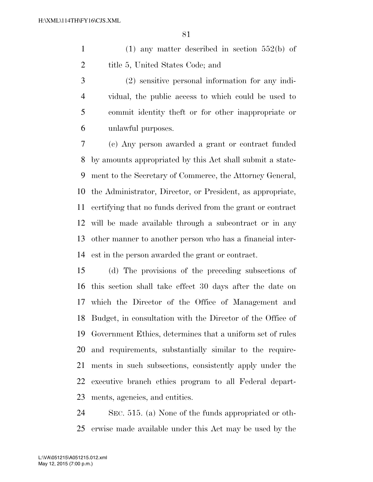- (1) any matter described in section 552(b) of 2 title 5, United States Code; and
	- (2) sensitive personal information for any indi- vidual, the public access to which could be used to commit identity theft or for other inappropriate or unlawful purposes.

 (c) Any person awarded a grant or contract funded by amounts appropriated by this Act shall submit a state- ment to the Secretary of Commerce, the Attorney General, the Administrator, Director, or President, as appropriate, certifying that no funds derived from the grant or contract will be made available through a subcontract or in any other manner to another person who has a financial inter-est in the person awarded the grant or contract.

 (d) The provisions of the preceding subsections of this section shall take effect 30 days after the date on which the Director of the Office of Management and Budget, in consultation with the Director of the Office of Government Ethics, determines that a uniform set of rules and requirements, substantially similar to the require- ments in such subsections, consistently apply under the executive branch ethics program to all Federal depart-ments, agencies, and entities.

 SEC. 515. (a) None of the funds appropriated or oth-erwise made available under this Act may be used by the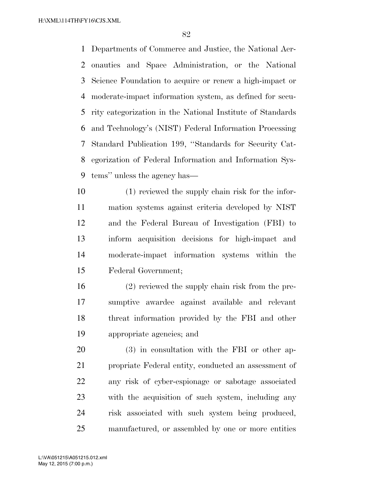Departments of Commerce and Justice, the National Aer- onautics and Space Administration, or the National Science Foundation to acquire or renew a high-impact or moderate-impact information system, as defined for secu- rity categorization in the National Institute of Standards and Technology's (NIST) Federal Information Processing Standard Publication 199, ''Standards for Security Cat- egorization of Federal Information and Information Sys-tems'' unless the agency has—

 (1) reviewed the supply chain risk for the infor- mation systems against criteria developed by NIST and the Federal Bureau of Investigation (FBI) to inform acquisition decisions for high-impact and moderate-impact information systems within the Federal Government;

 (2) reviewed the supply chain risk from the pre- sumptive awardee against available and relevant threat information provided by the FBI and other appropriate agencies; and

 (3) in consultation with the FBI or other ap- propriate Federal entity, conducted an assessment of any risk of cyber-espionage or sabotage associated with the acquisition of such system, including any risk associated with such system being produced, manufactured, or assembled by one or more entities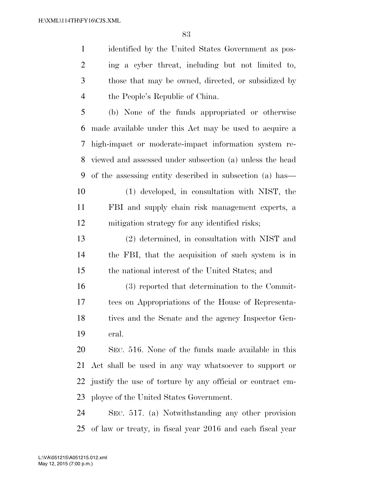identified by the United States Government as pos- ing a cyber threat, including but not limited to, those that may be owned, directed, or subsidized by the People's Republic of China.

 (b) None of the funds appropriated or otherwise made available under this Act may be used to acquire a high-impact or moderate-impact information system re- viewed and assessed under subsection (a) unless the head of the assessing entity described in subsection (a) has—

 (1) developed, in consultation with NIST, the FBI and supply chain risk management experts, a mitigation strategy for any identified risks;

 (2) determined, in consultation with NIST and the FBI, that the acquisition of such system is in the national interest of the United States; and

 (3) reported that determination to the Commit- tees on Appropriations of the House of Representa- tives and the Senate and the agency Inspector Gen-eral.

 SEC. 516. None of the funds made available in this Act shall be used in any way whatsoever to support or justify the use of torture by any official or contract em-ployee of the United States Government.

 SEC. 517. (a) Notwithstanding any other provision of law or treaty, in fiscal year 2016 and each fiscal year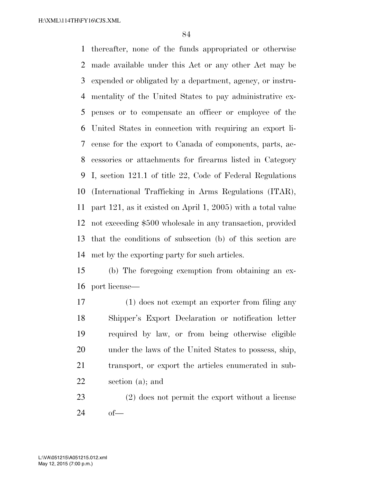thereafter, none of the funds appropriated or otherwise made available under this Act or any other Act may be expended or obligated by a department, agency, or instru- mentality of the United States to pay administrative ex- penses or to compensate an officer or employee of the United States in connection with requiring an export li- cense for the export to Canada of components, parts, ac- cessories or attachments for firearms listed in Category I, section 121.1 of title 22, Code of Federal Regulations (International Trafficking in Arms Regulations (ITAR), part 121, as it existed on April 1, 2005) with a total value not exceeding \$500 wholesale in any transaction, provided that the conditions of subsection (b) of this section are met by the exporting party for such articles.

 (b) The foregoing exemption from obtaining an ex-port license—

 (1) does not exempt an exporter from filing any Shipper's Export Declaration or notification letter required by law, or from being otherwise eligible under the laws of the United States to possess, ship, transport, or export the articles enumerated in sub-section (a); and

 (2) does not permit the export without a license of—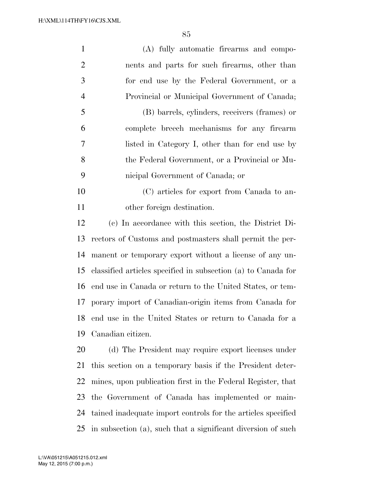| $\mathbf{1}$   | (A) fully automatic firearms and compo-                       |
|----------------|---------------------------------------------------------------|
| $\mathbf{2}$   | nents and parts for such firearms, other than                 |
| 3              | for end use by the Federal Government, or a                   |
| $\overline{4}$ | Provincial or Municipal Government of Canada;                 |
| 5              | (B) barrels, cylinders, receivers (frames) or                 |
| 6              | complete breech mechanisms for any firearm                    |
| 7              | listed in Category I, other than for end use by               |
| 8              | the Federal Government, or a Provincial or Mu-                |
| 9              | nicipal Government of Canada; or                              |
| 10             | (C) articles for export from Canada to an-                    |
| 11             | other foreign destination.                                    |
| 12             | (c) In accordance with this section, the District Di-         |
| 13             | rectors of Customs and postmasters shall permit the per-      |
| 14             | manent or temporary export without a license of any un-       |
| 15             | classified articles specified in subsection (a) to Canada for |
| 16             | end use in Canada or return to the United States, or tem-     |
| 17             | porary import of Canadian-origin items from Canada for        |
|                | 18 end use in the United States or return to Canada for a     |
| 19             | Canadian citizen.                                             |
| 20             | (d) The President may require export licenses under           |
| 21             | this section on a temporary basis if the President deter-     |
| 22             | mines, upon publication first in the Federal Register, that   |
| 23             | the Government of Canada has implemented or main-             |
| 24             | tained inadequate import controls for the articles specified  |
| 25             | in subsection (a), such that a significant diversion of such  |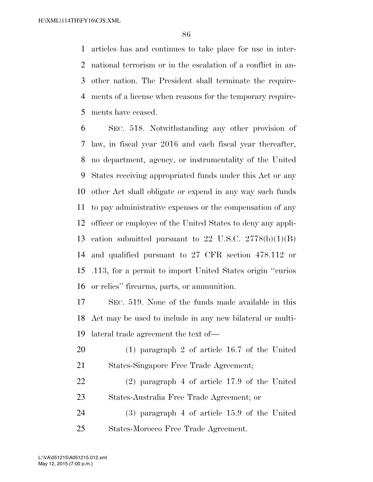articles has and continues to take place for use in inter- national terrorism or in the escalation of a conflict in an- other nation. The President shall terminate the require- ments of a license when reasons for the temporary require-ments have ceased.

 SEC. 518. Notwithstanding any other provision of law, in fiscal year 2016 and each fiscal year thereafter, no department, agency, or instrumentality of the United States receiving appropriated funds under this Act or any other Act shall obligate or expend in any way such funds to pay administrative expenses or the compensation of any officer or employee of the United States to deny any appli-13 cation submitted pursuant to 22 U.S.C.  $2778(b)(1)(B)$  and qualified pursuant to 27 CFR section 478.112 or .113, for a permit to import United States origin ''curios or relics'' firearms, parts, or ammunition.

 SEC. 519. None of the funds made available in this Act may be used to include in any new bilateral or multi-lateral trade agreement the text of—

- (1) paragraph 2 of article 16.7 of the United States-Singapore Free Trade Agreement;
- (2) paragraph 4 of article 17.9 of the United States-Australia Free Trade Agreement; or
- (3) paragraph 4 of article 15.9 of the United States-Morocco Free Trade Agreement.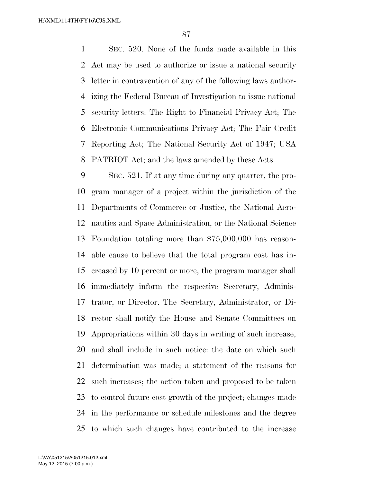SEC. 520. None of the funds made available in this Act may be used to authorize or issue a national security letter in contravention of any of the following laws author- izing the Federal Bureau of Investigation to issue national security letters: The Right to Financial Privacy Act; The Electronic Communications Privacy Act; The Fair Credit Reporting Act; The National Security Act of 1947; USA PATRIOT Act; and the laws amended by these Acts.

 SEC. 521. If at any time during any quarter, the pro- gram manager of a project within the jurisdiction of the Departments of Commerce or Justice, the National Aero- nautics and Space Administration, or the National Science Foundation totaling more than \$75,000,000 has reason- able cause to believe that the total program cost has in- creased by 10 percent or more, the program manager shall immediately inform the respective Secretary, Adminis- trator, or Director. The Secretary, Administrator, or Di- rector shall notify the House and Senate Committees on Appropriations within 30 days in writing of such increase, and shall include in such notice: the date on which such determination was made; a statement of the reasons for such increases; the action taken and proposed to be taken to control future cost growth of the project; changes made in the performance or schedule milestones and the degree to which such changes have contributed to the increase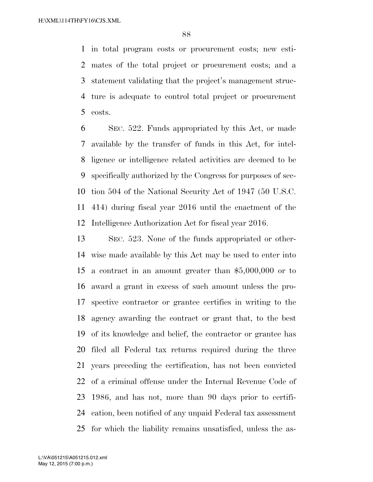in total program costs or procurement costs; new esti- mates of the total project or procurement costs; and a statement validating that the project's management struc- ture is adequate to control total project or procurement costs.

 SEC. 522. Funds appropriated by this Act, or made available by the transfer of funds in this Act, for intel- ligence or intelligence related activities are deemed to be specifically authorized by the Congress for purposes of sec- tion 504 of the National Security Act of 1947 (50 U.S.C. 414) during fiscal year 2016 until the enactment of the Intelligence Authorization Act for fiscal year 2016.

 SEC. 523. None of the funds appropriated or other- wise made available by this Act may be used to enter into a contract in an amount greater than \$5,000,000 or to award a grant in excess of such amount unless the pro- spective contractor or grantee certifies in writing to the agency awarding the contract or grant that, to the best of its knowledge and belief, the contractor or grantee has filed all Federal tax returns required during the three years preceding the certification, has not been convicted of a criminal offense under the Internal Revenue Code of 1986, and has not, more than 90 days prior to certifi- cation, been notified of any unpaid Federal tax assessment for which the liability remains unsatisfied, unless the as-

May 12, 2015 (7:00 p.m.) L:\VA\051215\A051215.012.xml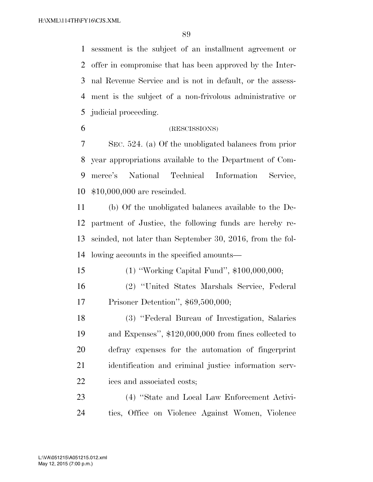sessment is the subject of an installment agreement or offer in compromise that has been approved by the Inter- nal Revenue Service and is not in default, or the assess- ment is the subject of a non-frivolous administrative or judicial proceeding.

#### (RESCISSIONS)

 SEC. 524. (a) Of the unobligated balances from prior year appropriations available to the Department of Com- merce's National Technical Information Service, \$10,000,000 are rescinded.

 (b) Of the unobligated balances available to the De- partment of Justice, the following funds are hereby re- scinded, not later than September 30, 2016, from the fol-lowing accounts in the specified amounts—

(1) ''Working Capital Fund'', \$100,000,000;

 (2) ''United States Marshals Service, Federal Prisoner Detention'', \$69,500,000;

 (3) ''Federal Bureau of Investigation, Salaries and Expenses'', \$120,000,000 from fines collected to defray expenses for the automation of fingerprint identification and criminal justice information serv-ices and associated costs;

 (4) ''State and Local Law Enforcement Activi-ties, Office on Violence Against Women, Violence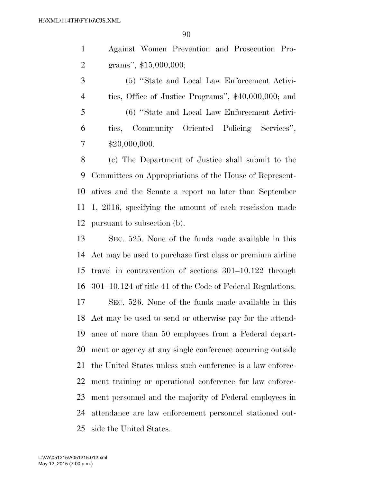Against Women Prevention and Prosecution Pro-grams'', \$15,000,000;

 (5) ''State and Local Law Enforcement Activi- ties, Office of Justice Programs'', \$40,000,000; and (6) ''State and Local Law Enforcement Activi- ties, Community Oriented Policing Services'', \$20,000,000.

 (c) The Department of Justice shall submit to the Committees on Appropriations of the House of Represent- atives and the Senate a report no later than September 1, 2016, specifying the amount of each rescission made pursuant to subsection (b).

 SEC. 525. None of the funds made available in this Act may be used to purchase first class or premium airline travel in contravention of sections 301–10.122 through 301–10.124 of title 41 of the Code of Federal Regulations. SEC. 526. None of the funds made available in this Act may be used to send or otherwise pay for the attend- ance of more than 50 employees from a Federal depart- ment or agency at any single conference occurring outside the United States unless such conference is a law enforce- ment training or operational conference for law enforce- ment personnel and the majority of Federal employees in attendance are law enforcement personnel stationed out-side the United States.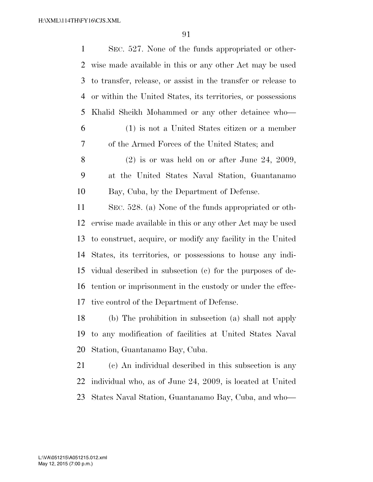SEC. 527. None of the funds appropriated or other- wise made available in this or any other Act may be used to transfer, release, or assist in the transfer or release to or within the United States, its territories, or possessions Khalid Sheikh Mohammed or any other detainee who— (1) is not a United States citizen or a member of the Armed Forces of the United States; and (2) is or was held on or after June 24, 2009, at the United States Naval Station, Guantanamo Bay, Cuba, by the Department of Defense. SEC. 528. (a) None of the funds appropriated or oth- erwise made available in this or any other Act may be used to construct, acquire, or modify any facility in the United States, its territories, or possessions to house any indi- vidual described in subsection (c) for the purposes of de- tention or imprisonment in the custody or under the effec- tive control of the Department of Defense. (b) The prohibition in subsection (a) shall not apply to any modification of facilities at United States Naval Station, Guantanamo Bay, Cuba. (c) An individual described in this subsection is any

 individual who, as of June 24, 2009, is located at United States Naval Station, Guantanamo Bay, Cuba, and who—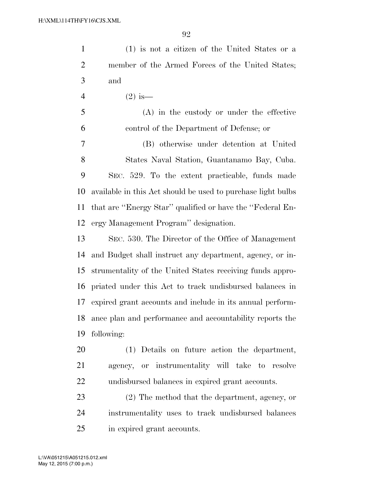| $\mathbf{1}$   | (1) is not a citizen of the United States or a               |
|----------------|--------------------------------------------------------------|
| $\overline{2}$ | member of the Armed Forces of the United States;             |
| 3              | and                                                          |
| $\overline{4}$ | $(2)$ is —                                                   |
| 5              | (A) in the custody or under the effective                    |
| 6              | control of the Department of Defense; or                     |
| 7              | (B) otherwise under detention at United                      |
| 8              | States Naval Station, Guantanamo Bay, Cuba.                  |
| 9              | SEC. 529. To the extent practicable, funds made              |
| 10             | available in this Act should be used to purchase light bulbs |
| 11             | that are "Energy Star" qualified or have the "Federal En-    |
| 12             | ergy Management Program" designation.                        |
| 13             | SEC. 530. The Director of the Office of Management           |
| 14             | and Budget shall instruct any department, agency, or in-     |
| 15             | strumentality of the United States receiving funds appro-    |
| 16             | priated under this Act to track undisbursed balances in      |
| 17             | expired grant accounts and include in its annual perform-    |
|                | 18 ance plan and performance and accountability reports the  |
| 19             | following:                                                   |
| 20             | (1) Details on future action the department,                 |
| 21             | agency, or instrumentality will take to resolve              |
| 22             | undisbursed balances in expired grant accounts.              |
| 23             | $(2)$ The method that the department, agency, or             |
| 24             | instrumentality uses to track undisbursed balances           |

in expired grant accounts.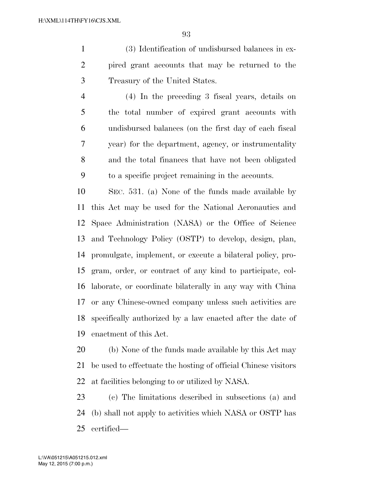(3) Identification of undisbursed balances in ex- pired grant accounts that may be returned to the Treasury of the United States.

 (4) In the preceding 3 fiscal years, details on the total number of expired grant accounts with undisbursed balances (on the first day of each fiscal year) for the department, agency, or instrumentality and the total finances that have not been obligated to a specific project remaining in the accounts.

 SEC. 531. (a) None of the funds made available by this Act may be used for the National Aeronautics and Space Administration (NASA) or the Office of Science and Technology Policy (OSTP) to develop, design, plan, promulgate, implement, or execute a bilateral policy, pro- gram, order, or contract of any kind to participate, col- laborate, or coordinate bilaterally in any way with China or any Chinese-owned company unless such activities are specifically authorized by a law enacted after the date of enactment of this Act.

 (b) None of the funds made available by this Act may be used to effectuate the hosting of official Chinese visitors at facilities belonging to or utilized by NASA.

 (c) The limitations described in subsections (a) and (b) shall not apply to activities which NASA or OSTP has certified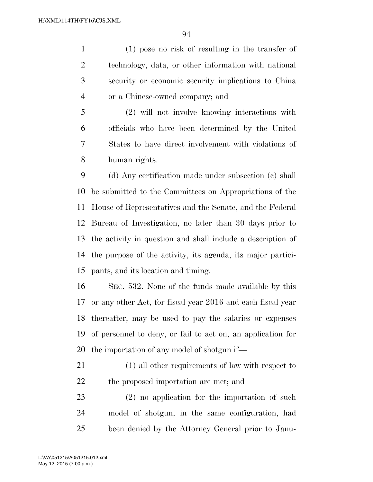(1) pose no risk of resulting in the transfer of technology, data, or other information with national security or economic security implications to China or a Chinese-owned company; and

 (2) will not involve knowing interactions with officials who have been determined by the United States to have direct involvement with violations of human rights.

 (d) Any certification made under subsection (c) shall be submitted to the Committees on Appropriations of the House of Representatives and the Senate, and the Federal Bureau of Investigation, no later than 30 days prior to the activity in question and shall include a description of the purpose of the activity, its agenda, its major partici-pants, and its location and timing.

 SEC. 532. None of the funds made available by this or any other Act, for fiscal year 2016 and each fiscal year thereafter, may be used to pay the salaries or expenses of personnel to deny, or fail to act on, an application for the importation of any model of shotgun if—

- (1) all other requirements of law with respect to the proposed importation are met; and
- (2) no application for the importation of such model of shotgun, in the same configuration, had been denied by the Attorney General prior to Janu-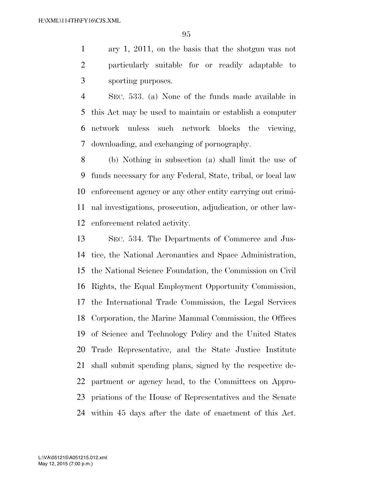ary 1, 2011, on the basis that the shotgun was not particularly suitable for or readily adaptable to sporting purposes.

 SEC. 533. (a) None of the funds made available in this Act may be used to maintain or establish a computer network unless such network blocks the viewing, downloading, and exchanging of pornography.

 (b) Nothing in subsection (a) shall limit the use of funds necessary for any Federal, State, tribal, or local law enforcement agency or any other entity carrying out crimi- nal investigations, prosecution, adjudication, or other law-enforcement related activity.

 SEC. 534. The Departments of Commerce and Jus- tice, the National Aeronautics and Space Administration, the National Science Foundation, the Commission on Civil Rights, the Equal Employment Opportunity Commission, the International Trade Commission, the Legal Services Corporation, the Marine Mammal Commission, the Offices of Science and Technology Policy and the United States Trade Representative, and the State Justice Institute shall submit spending plans, signed by the respective de- partment or agency head, to the Committees on Appro- priations of the House of Representatives and the Senate within 45 days after the date of enactment of this Act.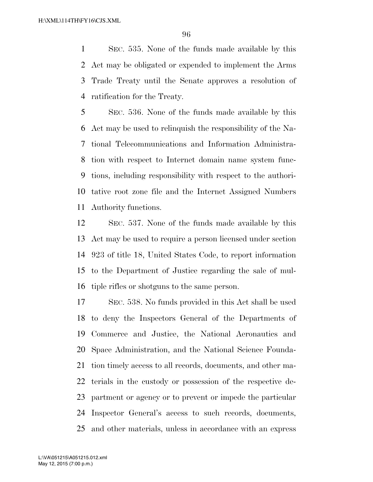SEC. 535. None of the funds made available by this Act may be obligated or expended to implement the Arms Trade Treaty until the Senate approves a resolution of ratification for the Treaty.

 SEC. 536. None of the funds made available by this Act may be used to relinquish the responsibility of the Na- tional Telecommunications and Information Administra- tion with respect to Internet domain name system func- tions, including responsibility with respect to the authori- tative root zone file and the Internet Assigned Numbers Authority functions.

 SEC. 537. None of the funds made available by this Act may be used to require a person licensed under section 923 of title 18, United States Code, to report information to the Department of Justice regarding the sale of mul-tiple rifles or shotguns to the same person.

 SEC. 538. No funds provided in this Act shall be used to deny the Inspectors General of the Departments of Commerce and Justice, the National Aeronautics and Space Administration, and the National Science Founda- tion timely access to all records, documents, and other ma- terials in the custody or possession of the respective de- partment or agency or to prevent or impede the particular Inspector General's access to such records, documents, and other materials, unless in accordance with an express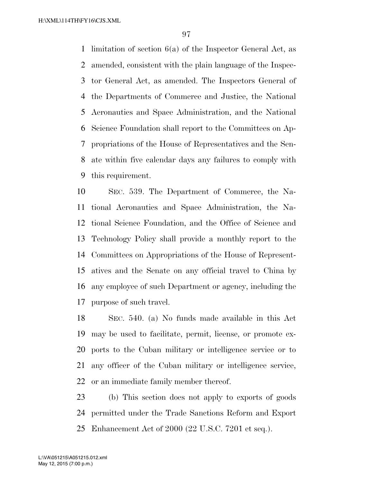limitation of section 6(a) of the Inspector General Act, as amended, consistent with the plain language of the Inspec- tor General Act, as amended. The Inspectors General of the Departments of Commerce and Justice, the National Aeronautics and Space Administration, and the National Science Foundation shall report to the Committees on Ap- propriations of the House of Representatives and the Sen- ate within five calendar days any failures to comply with this requirement.

 SEC. 539. The Department of Commerce, the Na- tional Aeronautics and Space Administration, the Na- tional Science Foundation, and the Office of Science and Technology Policy shall provide a monthly report to the Committees on Appropriations of the House of Represent- atives and the Senate on any official travel to China by any employee of such Department or agency, including the purpose of such travel.

 SEC. 540. (a) No funds made available in this Act may be used to facilitate, permit, license, or promote ex- ports to the Cuban military or intelligence service or to any officer of the Cuban military or intelligence service, or an immediate family member thereof.

 (b) This section does not apply to exports of goods permitted under the Trade Sanctions Reform and Export Enhancement Act of 2000 (22 U.S.C. 7201 et seq.).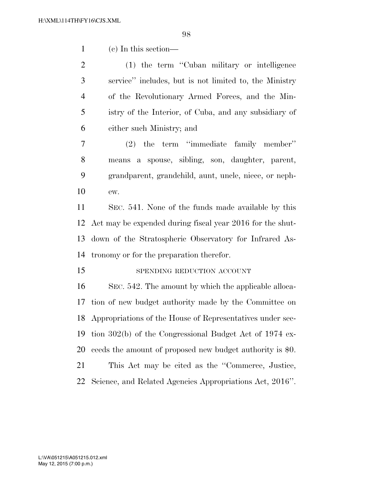(c) In this section—

 (1) the term ''Cuban military or intelligence service'' includes, but is not limited to, the Ministry of the Revolutionary Armed Forces, and the Min- istry of the Interior, of Cuba, and any subsidiary of either such Ministry; and

 (2) the term ''immediate family member'' means a spouse, sibling, son, daughter, parent, grandparent, grandchild, aunt, uncle, niece, or neph-ew.

 SEC. 541. None of the funds made available by this Act may be expended during fiscal year 2016 for the shut- down of the Stratospheric Observatory for Infrared As-tronomy or for the preparation therefor.

15 SPENDING REDUCTION ACCOUNT

 SEC. 542. The amount by which the applicable alloca- tion of new budget authority made by the Committee on Appropriations of the House of Representatives under sec- tion 302(b) of the Congressional Budget Act of 1974 ex- ceeds the amount of proposed new budget authority is \$0. This Act may be cited as the ''Commerce, Justice, Science, and Related Agencies Appropriations Act, 2016''.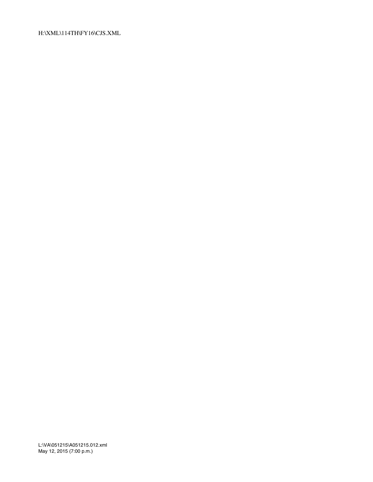May 12, 2015 (7:00 p.m.) L:\VA\051215\A051215.012.xml

H:\XML\114TH\FY16\CJS.XML